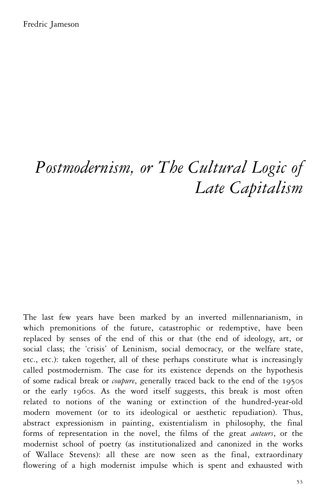# *Postmodernism, or The Cultural Logic of Late Capitalism*

The last few years have been marked by an inverted millennarianism, in which premonitions of the future, catastrophic or redemptive, have been replaced by senses of the end of this or that (the end of ideology, art, or social class; the 'crisis' of Leninism, social democracy, or the welfare state, etc., etc.): taken together, all of these perhaps constitute what is increasingly called postmodernism. The case for its existence depends on the hypothesis of some radical break or *coupure*, generally traced back to the end of the 1950s or the early 1960s. As the word itself suggests, this break is most often related to notions of the waning or extinction of the hundred-year-old modern movement (or to its ideological or aesthetic repudiation). Thus, abstract expressionism in painting, existentialism in philosophy, the final forms of representation in the novel, the films of the great *auteurs*, or the modernist school of poetry (as institutionalized and canonized in the works of Wallace Stevens): all these are now seen as the final, extraordinary flowering of a high modernist impulse which is spent and exhausted with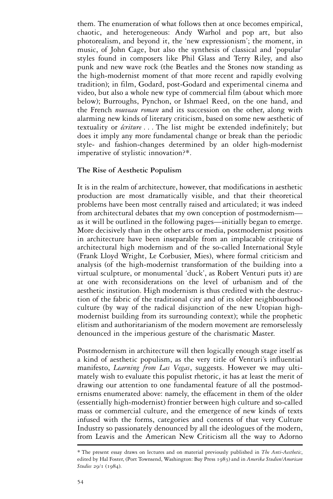them. The enumeration of what follows then at once becomes empirical, chaotic, and heterogeneous: Andy Warhol and pop art, but also photorealism, and beyond it, the 'new expressionism'; the moment, in music, of John Cage, but also the synthesis of classical and 'popular' styles found in composers like Phil Glass and Terry Riley, and also punk and new wave rock (the Beatles and the Stones now standing as the high-modernist moment of that more recent and rapidly evolving tradition); in film, Godard, post-Godard and experimental cinema and video, but also a whole new type of commercial film (about which more below); Burroughs, Pynchon, or Ishmael Reed, on the one hand, and the French *nouveau roman* and its succession on the other, along with alarming new kinds of literary criticism, based on some new aesthetic of textuality or *écriture* . . . The list might be extended indefinitely; but does it imply any more fundamental change or break than the periodic style- and fashion-changes determined by an older high-modernist imperative of stylistic innovation?\*.

## **The Rise of Aesthetic Populism**

It is in the realm of architecture, however, that modifications in aesthetic production are most dramatically visible, and that their theoretical problems have been most centrally raised and articulated; it was indeed from architectural debates that my own conception of postmodernism as it will be outlined in the following pages—initially began to emerge. More decisively than in the other arts or media, postmodernist positions in architecture have been inseparable from an implacable critique of architectural high modernism and of the so-called International Style (Frank Lloyd Wright, Le Corbusier, Mies), where formal criticism and analysis (of the high-modernist transformation of the building into a virtual sculpture, or monumental 'duck', as Robert Venturi puts it) are at one with reconsiderations on the level of urbanism and of the aesthetic institution. High modernism is thus credited with the destruction of the fabric of the traditional city and of its older neighbourhood culture (by way of the radical disjunction of the new Utopian highmodernist building from its surrounding context); while the prophetic elitism and authoritarianism of the modern movement are remorselessly denounced in the imperious gesture of the charismatic Master.

Postmodernism in architecture will then logically enough stage itself as a kind of aesthetic populism, as the very title of Venturi's influential manifesto, *Learning from Las Vegas*, suggests. However we may ultimately wish to evaluate this populist rhetoric, it has at least the merit of drawing our attention to one fundamental feature of all the postmodernisms enumerated above: namely, the effacement in them of the older (essentially high-modernist) frontier between high culture and so-called mass or commercial culture, and the emergence of new kinds of texts infused with the forms, categories and contents of that very Culture Industry so passionately denounced by all the ideologues of the modern, from Leavis and the American New Criticism all the way to Adorno

<sup>\*</sup> The present essay draws on lectures and on material previously published in *The Anti-Aesthetic*, edited by Hal Foster, (Port Townsend, Washington: Bay Press 1983) and in *Amerika Studien/American Studies* 29/1 (1984).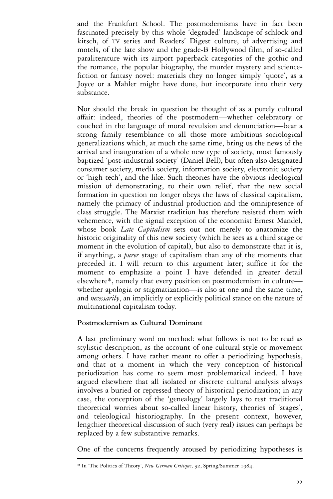and the Frankfurt School. The postmodernisms have in fact been fascinated precisely by this whole 'degraded' landscape of schlock and kitsch, of TV series and Readers' Digest culture, of advertising and motels, of the late show and the grade-B Hollywood film, of so-called paraliterature with its airport paperback categories of the gothic and the romance, the popular biography, the murder mystery and sciencefiction or fantasy novel: materials they no longer simply 'quote', as a Joyce or a Mahler might have done, but incorporate into their very substance.

Nor should the break in question be thought of as a purely cultural affair: indeed, theories of the postmodern—whether celebratory or couched in the language of moral revulsion and denunciation—bear a strong family resemblance to all those more ambitious sociological generalizations which, at much the same time, bring us the news of the arrival and inauguration of a whole new type of society, most famously baptized 'post-industrial society' (Daniel Bell), but often also designated consumer society, media society, information society, electronic society or 'high tech', and the like. Such theories have the obvious ideological mission of demonstrating, to their own relief, that the new social formation in question no longer obeys the laws of classical capitalism, namely the primacy of industrial production and the omnipresence of class struggle. The Marxist tradition has therefore resisted them with vehemence, with the signal exception of the economist Ernest Mandel, whose book *Late Capitalism* sets out not merely to anatomize the historic originality of this new society (which he sees as a third stage or moment in the evolution of capital), but also to demonstrate that it is, if anything, a *purer* stage of capitalism than any of the moments that preceded it. I will return to this argument later; suffice it for the moment to emphasize a point I have defended in greater detail elsewhere\*, namely that every position on postmodernism in culture whether apologia or stigmatization—is also at one and the same time, and *necessarily*, an implicitly or explicitly political stance on the nature of multinational capitalism today.

# **Postmodernism as Cultural Dominant**

A last preliminary word on method: what follows is not to be read as stylistic description, as the account of one cultural style or movement among others. I have rather meant to offer a periodizing hypothesis, and that at a moment in which the very conception of historical periodization has come to seem most problematical indeed. I have argued elsewhere that all isolated or discrete cultural analysis always involves a buried or repressed theory of historical periodization; in any case, the conception of the 'genealogy' largely lays to rest traditional theoretical worries about so-called linear history, theories of 'stages', and teleological historiography. In the present context, however, lengthier theoretical discussion of such (very real) issues can perhaps be replaced by a few substantive remarks.

One of the concerns frequently aroused by periodizing hypotheses is

<sup>\*</sup> In 'The Politics of Theory', *New German Critique*, 32, Spring/Summer 1984.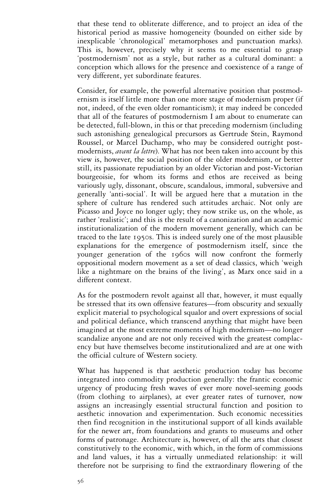that these tend to obliterate difference, and to project an idea of the historical period as massive homogeneity (bounded on either side by inexplicable 'chronological' metamorphoses and punctuation marks). This is, however, precisely why it seems to me essential to grasp 'postmodernism' not as a style, but rather as a cultural dominant: a conception which allows for the presence and coexistence of a range of very different, yet subordinate features.

Consider, for example, the powerful alternative position that postmodernism is itself little more than one more stage of modernism proper (if not, indeed, of the even older romanticism); it may indeed be conceded that all of the features of postmodernism I am about to enumerate can be detected, full-blown, in this or that preceding modernism (including such astonishing genealogical precursors as Gertrude Stein, Raymond Roussel, or Marcel Duchamp, who may be considered outright postmodernists, *avant la lettre*). What has not been taken into account by this view is, however, the social position of the older modernism, or better still, its passionate repudiation by an older Victorian and post-Victorian bourgeoisie, for whom its forms and ethos are received as being variously ugly, dissonant, obscure, scandalous, immoral, subversive and generally 'anti-social'. It will be argued here that a mutation in the sphere of culture has rendered such attitudes archaic. Not only are Picasso and Joyce no longer ugly; they now strike us, on the whole, as rather 'realistic'; and this is the result of a canonization and an academic institutionalization of the modern movement generally, which can be traced to the late 1950s. This is indeed surely one of the most plausible explanations for the emergence of postmodernism itself, since the younger generation of the 1960s will now confront the formerly oppositional modern movement as a set of dead classics, which 'weigh like a nightmare on the brains of the living', as Marx once said in a different context.

As for the postmodern revolt against all that, however, it must equally be stressed that its own offensive features—from obscurity and sexually explicit material to psychological squalor and overt expressions of social and political defiance, which transcend anything that might have been imagined at the most extreme moments of high modernism—no longer scandalize anyone and are not only received with the greatest complacency but have themselves become institutionalized and are at one with the official culture of Western society.

What has happened is that aesthetic production today has become integrated into commodity production generally: the frantic economic urgency of producing fresh waves of ever more novel-seeming goods (from clothing to airplanes), at ever greater rates of turnover, now assigns an increasingly essential structural function and position to aesthetic innovation and experimentation. Such economic necessities then find recognition in the institutional support of all kinds available for the newer art, from foundations and grants to museums and other forms of patronage. Architecture is, however, of all the arts that closest constitutively to the economic, with which, in the form of commissions and land values, it has a virtually unmediated relationship: it will therefore not be surprising to find the extraordinary flowering of the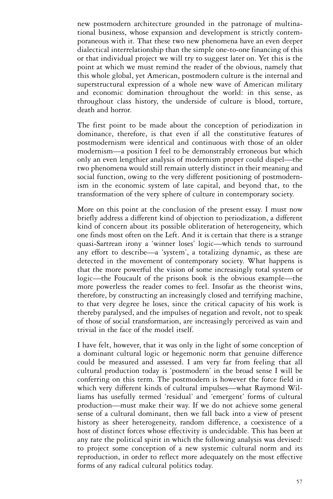new postmodern architecture grounded in the patronage of multinational business, whose expansion and development is strictly contemporaneous with it. That these two new phenomena have an even deeper dialectical interrelationship than the simple one-to-one financing of this or that individual project we will try to suggest later on. Yet this is the point at which we must remind the reader of the obvious, namely that this whole global, yet American, postmodern culture is the internal and superstructural expression of a whole new wave of American military and economic domination throughout the world: in this sense, as throughout class history, the underside of culture is blood, torture, death and horror.

The first point to be made about the conception of periodization in dominance, therefore, is that even if all the constitutive features of postmodernism were identical and continuous with those of an older modernism—a position I feel to be demonstrably erroneous but which only an even lengthier analysis of modernism proper could dispel—the two phenomena would still remain utterly distinct in their meaning and social function, owing to the very different positioning of postmodernism in the economic system of late capital, and beyond that, to the transformation of the very sphere of culture in contemporary society.

More on this point at the conclusion of the present essay. I must now briefly address a different kind of objection to periodization, a different kind of concern about its possible obliteration of heterogeneity, which one finds most often on the Left. And it is certain that there is a strange quasi-Sartrean irony a 'winner loses' logic—which tends to surround any effort to describe—a 'system', a totalizing dynamic, as these are detected in the movement of contemporary society. What happens is that the more powerful the vision of some increasingly total system or logic—the Foucault of the prisons book is the obvious example—the more powerless the reader comes to feel. Insofar as the theorist wins, therefore, by constructing an increasingly closed and terrifying machine, to that very degree he loses, since the critical capacity of his work is thereby paralysed, and the impulses of negation and revolt, not to speak of those of social transformation, are increasingly perceived as vain and trivial in the face of the model itself.

I have felt, however, that it was only in the light of some conception of a dominant cultural logic or hegemonic norm that genuine difference could be measured and assessed. I am very far from feeling that all cultural production today is 'postmodern' in the broad sense I will be conferring on this term. The postmodern is however the force field in which very different kinds of cultural impulses—what Raymond Williams has usefully termed 'residual' and 'emergent' forms of cultural production—must make their way. If we do not achieve some general sense of a cultural dominant, then we fall back into a view of present history as sheer heterogeneity, random difference, a coexistence of a host of distinct forces whose effectivity is undecidable. This has been at any rate the political spirit in which the following analysis was devised: to project some conception of a new systemic cultural norm and its reproduction, in order to reflect more adequately on the most effective forms of any radical cultural politics today.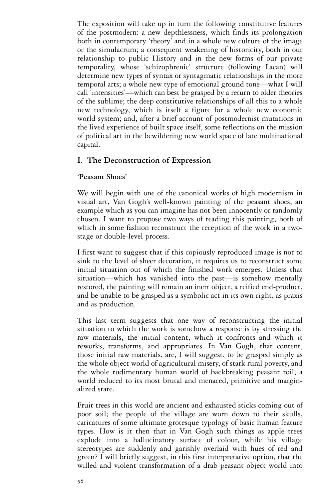The exposition will take up in turn the following constitutive features of the postmodern: a new depthlessness, which finds its prolongation both in contemporary 'theory' and in a whole new culture of the image or the simulacrum; a consequent weakening of historicity, both in our relationship to public History and in the new forms of our private temporality, whose 'schizophrenic' structure (following Lacan) will determine new types of syntax or syntagmatic relationships in the more temporal arts; a whole new type of emotional ground tone—what I will call 'intensities'—which can best be grasped by a return to older theories of the sublime; the deep constitutive relationships of all this to a whole new technology, which is itself a figure for a whole new economic world system; and, after a brief account of postmodernist mutations in the lived experience of built space itself, some reflections on the mission of political art in the bewildering new world space of late multinational capital.

# **I. The Deconstruction of Expression**

#### **'Peasant Shoes'**

We will begin with one of the canonical works of high modernism in visual art, Van Gogh's well-known painting of the peasant shoes, an example which as you can imagine has not been innocently or randomly chosen. I want to propose two ways of reading this painting, both of which in some fashion reconstruct the reception of the work in a twostage or double-level process.

I first want to suggest that if this copiously reproduced image is not to sink to the level of sheer decoration, it requires us to reconstruct some initial situation out of which the finished work emerges. Unless that situation—which has vanished into the past—is somehow mentally restored, the painting will remain an inert object, a reified end-product, and be unable to be grasped as a symbolic act in its own right, as praxis and as production.

This last term suggests that one way of reconstructing the initial situation to which the work is somehow a response is by stressing the raw materials, the initial content, which it confronts and which it reworks, transforms, and appropriates. In Van Gogh, that content, those initial raw materials, are, I will suggest, to be grasped simply as the whole object world of agricultural misery, of stark rural poverty, and the whole rudimentary human world of backbreaking peasant toil, a world reduced to its most brutal and menaced, primitive and marginalized state.

Fruit trees in this world are ancient and exhausted sticks coming out of poor soil; the people of the village are worn down to their skulls, caricatures of some ultimate grotesque typology of basic human feature types. How is it then that in Van Gogh such things as apple trees explode into a hallucinatory surface of colour, while his village stereotypes are suddenly and garishly overlaid with hues of red and green? I will briefly suggest, in this first interpretative option, that the willed and violent transformation of a drab peasant object world into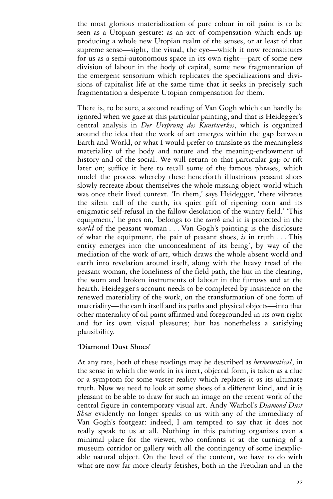the most glorious materialization of pure colour in oil paint is to be seen as a Utopian gesture: as an act of compensation which ends up producing a whole new Utopian realm of the senses, or at least of that supreme sense—sight, the visual, the eye—which it now reconstitutes for us as a semi-autonomous space in its own right—part of some new division of labour in the body of capital, some new fragmentation of the emergent sensorium which replicates the specializations and divisions of capitalist life at the same time that it seeks in precisely such fragmentation a desperate Utopian compensation for them.

There is, to be sure, a second reading of Van Gogh which can hardly be ignored when we gaze at this particular painting, and that is Heidegger's central analysis in *Der Ursprung des Kunstwerkes*, which is organized around the idea that the work of art emerges within the gap between Earth and World, or what I would prefer to translate as the meaningless materiality of the body and nature and the meaning-endowment of history and of the social. We will return to that particular gap or rift later on; suffice it here to recall some of the famous phrases, which model the process whereby these henceforth illustrious peasant shoes slowly recreate about themselves the whole missing object-world which was once their lived context. 'In them,' says Heidegger, 'there vibrates the silent call of the earth, its quiet gift of ripening corn and its enigmatic self-refusal in the fallow desolation of the wintry field.' 'This equipment,' he goes on, 'belongs to the *earth* and it is protected in the *world* of the peasant woman . . . Van Gogh's painting is the disclosure of what the equipment, the pair of peasant shoes, *is* in truth... This entity emerges into the unconcealment of its being', by way of the mediation of the work of art, which draws the whole absent world and earth into revelation around itself, along with the heavy tread of the peasant woman, the loneliness of the field path, the hut in the clearing, the worn and broken instruments of labour in the furrows and at the hearth. Heidegger's account needs to be completed by insistence on the renewed materiality of the work, on the transformation of one form of materiality—the earth itself and its paths and physical objects—into that other materiality of oil paint affirmed and foregrounded in its own right and for its own visual pleasures; but has nonetheless a satisfying plausibility.

# **'Diamond Dust Shoes'**

At any rate, both of these readings may be described as *hermeneutical*, in the sense in which the work in its inert, objectal form, is taken as a clue or a symptom for some vaster reality which replaces it as its ultimate truth. Now we need to look at some shoes of a different kind, and it is pleasant to be able to draw for such an image on the recent work of the central figure in contemporary visual art. Andy Warhol's *Diamond Dust Shoes* evidently no longer speaks to us with any of the immediacy of Van Gogh's footgear: indeed, I am tempted to say that it does not really speak to us at all. Nothing in this painting organizes even a minimal place for the viewer, who confronts it at the turning of a museum corridor or gallery with all the contingency of some inexplicable natural object. On the level of the content, we have to do with what are now far more clearly fetishes, both in the Freudian and in the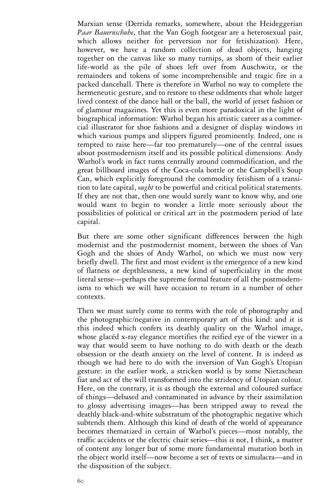Marxian sense (Derrida remarks, somewhere, about the Heideggerian *Paar Bauernschuhe*, that the Van Gogh footgear are a heterosexual pair, which allows neither for perversion nor for fetishization). Here, however, we have a random collection of dead objects, hanging together on the canvas like so many turnips, as shorn of their earlier life-world as the pile of shoes left over from Auschwitz, or the remainders and tokens of some incomprehensible and tragic fire in a packed dancehall. There is therefore in Warhol no way to complete the hermeneutic gesture, and to restore to these oddments that whole larger lived context of the dance hall or the ball, the world of jetset fashion or of glamour magazines. Yet this is even more paradoxical in the light of biographical information: Warhol began his artistic career as a commercial illustrator for shoe fashions and a designer of display windows in which various pumps and slippers figured prominently. Indeed, one is tempted to raise here—far too prematurely—one of the central issues about postmodernism itself and its possible political dimensions: Andy Warhol's work in fact turns centrally around commodification, and the great billboard images of the Coca-cola bottle or the Campbell's Soup Can, which explicitly foreground the commodity fetishism of a transition to late capital, *ought* to be powerful and critical political statements. If they are not that, then one would surely want to know why, and one would want to begin to wonder a little more seriously about the possibilities of political or critical art in the postmodern period of late capital.

But there are some other significant differences between the high modernist and the postmodernist moment, between the shoes of Van Gogh and the shoes of Andy Warhol, on which we must now very briefly dwell. The first and most evident is the emergence of a new kind of flatness or depthlessness, a new kind of superficiality in the most literal sense—perhaps the supreme formal feature of all the postmodernisms to which we will have occasion to return in a number of other contexts.

Then we must surely come to terms with the role of photography and the photographic/negative in contemporary art of this kind: and it is this indeed which confers its deathly quality on the Warhol image, whose glacéd x-ray elegance mortifies the reified eye of the viewer in a way that would seem to have nothing to do with death or the death obsession or the death anxiety on the level of content. It is indeed as though we had here to do with the inversion of Van Gogh's Utopian gesture: in the earlier work, a stricken world is by some Nietzschean fiat and act of the will transformed into the stridency of Utopian colour. Here, on the contrary, it is as though the external and coloured surface of things—debased and contaminated in advance by their assimilation to glossy advertising images—has been stripped away to reveal the deathly black-and-white substratum of the photographic negative which subtends them. Although this kind of death of the world of appearance becomes thematized in certain of Warhol's pieces—most notably, the traffic accidents or the electric chair series—this is not, I think, a matter of content any longer but of some more fundamental mutation both in the object world itself—now become a set of texts or simulacra—and in the disposition of the subject.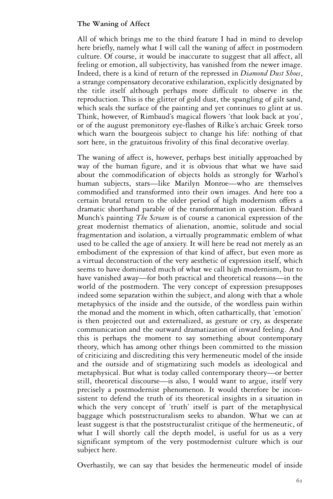# **The Waning of Affect**

All of which brings me to the third feature I had in mind to develop here briefly, namely what I will call the waning of affect in postmodern culture. Of course, it would be inaccurate to suggest that all affect, all feeling or emotion, all subjectivity, has vanished from the newer image. Indeed, there is a kind of return of the repressed in *Diamond Dust Shoes*, a strange compensatory decorative exhilaration, explicitly designated by the title itself although perhaps more difficult to observe in the reproduction. This is the glitter of gold dust, the spangling of gilt sand, which seals the surface of the painting and yet continues to glint at us. Think, however, of Rimbaud's magical flowers 'that look back at you', or of the august premonitory eye-flashes of Rilke's archaic Greek torso which warn the bourgeois subject to change his life: nothing of that sort here, in the gratuitous frivolity of this final decorative overlay.

The waning of affect is, however, perhaps best initially approached by way of the human figure, and it is obvious that what we have said about the commodification of objects holds as strongly for Warhol's human subjects, stars—like Marilyn Monroe—who are themselves commodified and transformed into their own images. And here too a certain brutal return to the older period of high modernism offers a dramatic shorthand parable of the transformation in question. Edvard Munch's painting *The Scream* is of course a canonical expression of the great modernist thematics of alienation, anomie, solitude and social fragmentation and isolation, a virtually programmatic emblem of what used to be called the age of anxiety. It will here be read not merely as an embodiment of the expression of that kind of affect, but even more as a virtual deconstruction of the very aesthetic of expression itself, which seems to have dominated much of what we call high modernism, but to have vanished away—for both practical and theoretical reasons—in the world of the postmodern. The very concept of expression presupposes indeed some separation within the subject, and along with that a whole metaphysics of the inside and the outside, of the wordless pain within the monad and the moment in which, often cathartically, that 'emotion' is then projected out and externalized, as gesture or cry, as desperate communication and the outward dramatization of inward feeling. And this is perhaps the moment to say something about contemporary theory, which has among other things been committed to the mission of criticizing and discrediting this very hermeneutic model of the inside and the outside and of stigmatizing such models as ideological and metaphysical. But what is today called contemporary theory—or better still, theoretical discourse—is also, I would want to argue, itself very precisely a postmodernist phenomenon. It would therefore be inconsistent to defend the truth of its theoretical insights in a situation in which the very concept of 'truth' itself is part of the metaphysical baggage which poststructuralism seeks to abandon. What we can at least suggest is that the poststructuralist critique of the hermeneutic, of what I will shortly call the depth model, is useful for us as a very significant symptom of the very postmodernist culture which is our subject here.

Overhastily, we can say that besides the hermeneutic model of inside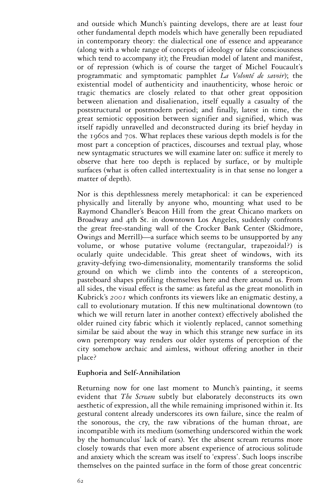and outside which Munch's painting develops, there are at least four other fundamental depth models which have generally been repudiated in contemporary theory: the dialectical one of essence and appearance (along with a whole range of concepts of ideology or false consciousness which tend to accompany it); the Freudian model of latent and manifest, or of repression (which is of course the target of Michel Foucault's programmatic and symptomatic pamphlet *La Volonté de savoir*); the existential model of authenticity and inauthenticity, whose heroic or tragic thematics are closely related to that other great opposition between alienation and disalienation, itself equally a casualty of the poststructural or postmodern period; and finally, latest in time, the great semiotic opposition between signifier and signified, which was itself rapidly unravelled and deconstructed during its brief heyday in the 1960s and 70s. What replaces these various depth models is for the most part a conception of practices, discourses and textual play, whose new syntagmatic structures we will examine later on: suffice it merely to observe that here too depth is replaced by surface, or by multiple surfaces (what is often called intertextuality is in that sense no longer a matter of depth).

Nor is this depthlessness merely metaphorical: it can be experienced physically and literally by anyone who, mounting what used to be Raymond Chandler's Beacon Hill from the great Chicano markets on Broadway and 4th St. in downtown Los Angeles, suddenly confronts the great free-standing wall of the Crocker Bank Center (Skidmore, Owings and Merrill)—a surface which seems to be unsupported by any volume, or whose putative volume (rectangular, trapezoidal?) is ocularly quite undecidable. This great sheet of windows, with its gravity-defying two-dimensionality, momentarily transforms the solid ground on which we climb into the contents of a stereopticon, pasteboard shapes profiling themselves here and there around us. From all sides, the visual effect is the same: as fateful as the great monolith in Kubrick's *2001* which confronts its viewers like an enigmatic destiny, a call to evolutionary mutation. If this new multinational downtown (to which we will return later in another context) effectively abolished the older ruined city fabric which it violently replaced, cannot something similar be said about the way in which this strange new surface in its own peremptory way renders our older systems of perception of the city somehow archaic and aimless, without offering another in their place?

## **Euphoria and Self-Annihilation**

Returning now for one last moment to Munch's painting, it seems evident that *The Scream* subtly but elaborately deconstructs its own aesthetic of expression, all the while remaining imprisoned within it. Its gestural content already underscores its own failure, since the realm of the sonorous, the cry, the raw vibrations of the human throat, are incompatible with its medium (something underscored within the work by the homunculus' lack of ears). Yet the absent scream returns more closely towards that even more absent experience of atrocious solitude and anxiety which the scream was itself to 'express'. Such loops inscribe themselves on the painted surface in the form of those great concentric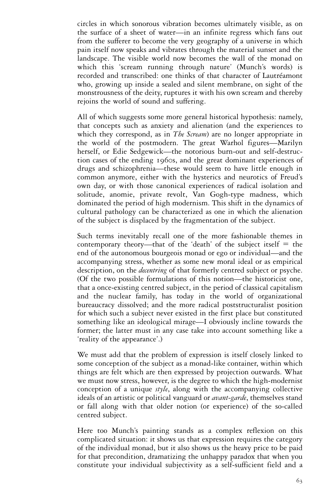circles in which sonorous vibration becomes ultimately visible, as on the surface of a sheet of water—in an infinite regress which fans out from the sufferer to become the very geography of a universe in which pain itself now speaks and vibrates through the material sunset and the landscape. The visible world now becomes the wall of the monad on which this 'scream running through nature' (Munch's words) is recorded and transcribed: one thinks of that character of Lautréamont who, growing up inside a sealed and silent membrane, on sight of the monstrousness of the deity, ruptures it with his own scream and thereby rejoins the world of sound and suffering.

All of which suggests some more general historical hypothesis: namely, that concepts such as anxiety and alienation (and the experiences to which they correspond, as in *The Scream*) are no longer appropriate in the world of the postmodern. The great Warhol figures—Marilyn herself, or Edie Sedgewick—the notorious burn-out and self-destruction cases of the ending 1960s, and the great dominant experiences of drugs and schizophrenia—these would seem to have little enough in common anymore, either with the hysterics and neurotics of Freud's own day, or with those canonical experiences of radical isolation and solitude, anomie, private revolt, Van Gogh-type madness, which dominated the period of high modernism. This shift in the dynamics of cultural pathology can be characterized as one in which the alienation of the subject is displaced by the fragmentation of the subject.

Such terms inevitably recall one of the more fashionable themes in contemporary theory—that of the 'death' of the subject itself  $=$  the end of the autonomous bourgeois monad or ego or individual—and the accompanying stress, whether as some new moral ideal or as empirical description, on the *decentring* of that formerly centred subject or psyche. (Of the two possible formulations of this notion—the historicist one, that a once-existing centred subject, in the period of classical capitalism and the nuclear family, has today in the world of organizational bureaucracy dissolved; and the more radical poststructuralist position for which such a subject never existed in the first place but constituted something like an ideological mirage—I obviously incline towards the former; the latter must in any case take into account something like a 'reality of the appearance'.)

We must add that the problem of expression is itself closely linked to some conception of the subject as a monad-like container, within which things are felt which are then expressed by projection outwards. What we must now stress, however, is the degree to which the high-modernist conception of a unique *style*, along with the accompanying collective ideals of an artistic or political vanguard or *avant-garde*, themselves stand or fall along with that older notion (or experience) of the so-called centred subject.

Here too Munch's painting stands as a complex reflexion on this complicated situation: it shows us that expression requires the category of the individual monad, but it also shows us the heavy price to be paid for that precondition, dramatizing the unhappy paradox that when you constitute your individual subjectivity as a self-sufficient field and a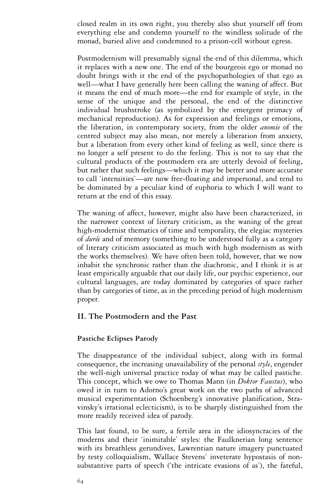closed realm in its own right, you thereby also shut yourself off from everything else and condemn yourself to the windless solitude of the monad, buried alive and condemned to a prison-cell without egress.

Postmodernism will presumably signal the end of this dilemma, which it replaces with a new one. The end of the bourgeois ego or monad no doubt brings with it the end of the psychopathologies of that ego as well—what I have generally here been calling the waning of affect. But it means the end of much more—the end for example of style, in the sense of the unique and the personal, the end of the distinctive individual brushstroke (as symbolized by the emergent primacy of mechanical reproduction). As for expression and feelings or emotions, the liberation, in contemporary society, from the older *anomie* of the centred subject may also mean, not merely a liberation from anxiety, but a liberation from every other kind of feeling as well, since there is no longer a self present to do the feeling. This is not to say that the cultural products of the postmodern era are utterly devoid of feeling, but rather that such feelings—which it may be better and more accurate to call 'intensities'—are now free-floating and impersonal, and tend to be dominated by a peculiar kind of euphoria to which I will want to return at the end of this essay.

The waning of affect, however, might also have been characterized, in the narrower context of literary criticism, as the waning of the great high-modernist thematics of time and temporality, the elegiac mysteries of *durée* and of memory (something to be understood fully as a category of literary criticism associated as much with high modernism as with the works themselves). We have often been told, however, that we now inhabit the synchronic rather than the diachronic, and I think it is at least empirically arguable that our daily life, our psychic experience, our cultural languages, are today dominated by categories of space rather than by categories of time, as in the preceding period of high modernism proper.

# **II. The Postmodern and the Past**

#### **Pastiche Eclipses Parody**

The disappearance of the individual subject, along with its formal consequence, the increasing unavailability of the personal *style*, engender the well-nigh universal practice today of what may be called pastiche. This concept, which we owe to Thomas Mann (in *Doktor Faustus*), who owed it in turn to Adorno's great work on the two paths of advanced musical experimentation (Schoenberg's innovative planification, Stravinsky's irrational eclecticism), is to be sharply distinguished from the more readily received idea of parody.

This last found, to be sure, a fertile area in the idiosyncracies of the moderns and their 'inimitable' styles: the Faulknerian long sentence with its breathless gerundives, Lawrentian nature imagery punctuated by testy colloquialism, Wallace Stevens' inveterate hypostasis of nonsubstantive parts of speech ('the intricate evasions of as'), the fateful,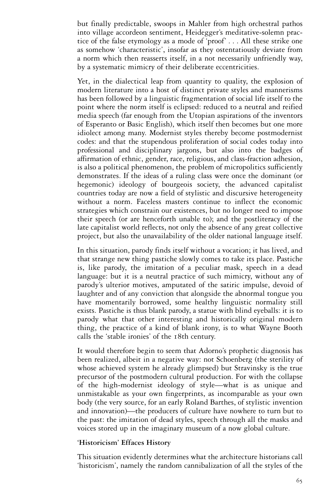but finally predictable, swoops in Mahler from high orchestral pathos into village accordeon sentiment, Heidegger's meditative-solemn practice of the false etymology as a mode of 'proof' . . . All these strike one as somehow 'characteristic', insofar as they ostentatiously deviate from a norm which then reasserts itself, in a not necessarily unfriendly way, by a systematic mimicry of their deliberate eccentricities.

Yet, in the dialectical leap from quantity to quality, the explosion of modern literature into a host of distinct private styles and mannerisms has been followed by a linguistic fragmentation of social life itself to the point where the norm itself is eclipsed: reduced to a neutral and reified media speech (far enough from the Utopian aspirations of the inventors of Esperanto or Basic English), which itself then becomes but one more idiolect among many. Modernist styles thereby become postmodernist codes: and that the stupendous proliferation of social codes today into professional and disciplinary jargons, but also into the badges of affirmation of ethnic, gender, race, religious, and class-fraction adhesion, is also a political phenomenon, the problem of micropolitics sufficiently demonstrates. If the ideas of a ruling class were once the dominant (or hegemonic) ideology of bourgeois society, the advanced capitalist countries today are now a field of stylistic and discursive heterogeneity without a norm. Faceless masters continue to inflect the economic strategies which constrain our existences, but no longer need to impose their speech (or are henceforth unable to); and the postliteracy of the late capitalist world reflects, not only the absence of any great collective project, but also the unavailability of the older national language itself.

In this situation, parody finds itself without a vocation; it has lived, and that strange new thing pastiche slowly comes to take its place. Pastiche is, like parody, the imitation of a peculiar mask, speech in a dead language: but it is a neutral practice of such mimicry, without any of parody's ulterior motives, amputated of the satiric impulse, devoid of laughter and of any conviction that alongside the abnormal tongue you have momentarily borrowed, some healthy linguistic normality still exists. Pastiche is thus blank parody, a statue with blind eyeballs: it is to parody what that other interesting and historically original modern thing, the practice of a kind of blank irony, is to what Wayne Booth calls the 'stable ironies' of the 18th century.

It would therefore begin to seem that Adorno's prophetic diagnosis has been realized, albeit in a negative way: not Schoenberg (the sterility of whose achieved system he already glimpsed) but Stravinsky is the true precursor of the postmodern cultural production. For with the collapse of the high-modernist ideology of style—what is as unique and unmistakable as your own fingerprints, as incomparable as your own body (the very source, for an early Roland Barthes, of stylistic invention and innovation)—the producers of culture have nowhere to turn but to the past: the imitation of dead styles, speech through all the masks and voices stored up in the imaginary museum of a now global culture.

## **'Historicism' Effaces History**

This situation evidently determines what the architecture historians call 'historicism', namely the random cannibalization of all the styles of the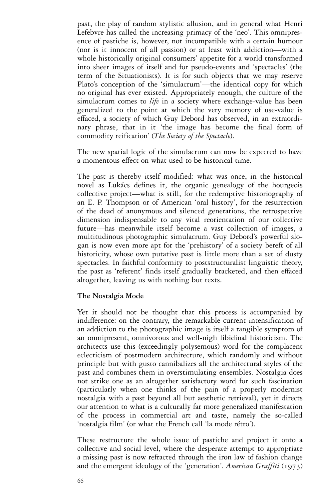past, the play of random stylistic allusion, and in general what Henri Lefebvre has called the increasing primacy of the 'neo'. This omnipresence of pastiche is, however, not incompatible with a certain humour (nor is it innocent of all passion) or at least with addiction—with a whole historically original consumers' appetite for a world transformed into sheer images of itself and for pseudo-events and 'spectacles' (the term of the Situationists). It is for such objects that we may reserve Plato's conception of the 'simulacrum'—the identical copy for which no original has ever existed. Appropriately enough, the culture of the simulacrum comes to *life* in a society where exchange-value has been generalized to the point at which the very memory of use-value is effaced, a society of which Guy Debord has observed, in an extraordinary phrase, that in it 'the image has become the final form of commodity reification' (*The Society of the Spectacle*).

The new spatial logic of the simulacrum can now be expected to have a momentous effect on what used to be historical time.

The past is thereby itself modified: what was once, in the historical novel as Lukács defines it, the organic genealogy of the bourgeois collective project—what is still, for the redemptive historiography of an E. P. Thompson or of American 'oral history', for the resurrection of the dead of anonymous and silenced generations, the retrospective dimension indispensable to any vital reorientation of our collective future—has meanwhile itself become a vast collection of images, a multitudinous photographic simulacrum. Guy Debord's powerful slogan is now even more apt for the 'prehistory' of a society bereft of all historicity, whose own putative past is little more than a set of dusty spectacles. In faithful conformity to poststructuralist linguistic theory, the past as 'referent' finds itself gradually bracketed, and then effaced altogether, leaving us with nothing but texts.

# **The Nostalgia Mode**

Yet it should not be thought that this process is accompanied by indifference: on the contrary, the remarkable current intensification of an addiction to the photographic image is itself a tangible symptom of an omnipresent, omnivorous and well-nigh libidinal historicism. The architects use this (exceedingly polysemous) word for the complacent eclecticism of postmodern architecture, which randomly and without principle but with gusto cannibalizes all the architectural styles of the past and combines them in overstimulating ensembles. Nostalgia does not strike one as an altogether satisfactory word for such fascination (particularly when one thinks of the pain of a properly modernist nostalgia with a past beyond all but aesthetic retrieval), yet it directs our attention to what is a culturally far more generalized manifestation of the process in commercial art and taste, namely the so-called 'nostalgia film' (or what the French call 'la mode rétro').

These restructure the whole issue of pastiche and project it onto a collective and social level, where the desperate attempt to appropriate a missing past is now refracted through the iron law of fashion change and the emergent ideology of the 'generation'. *American Graffiti* (1973)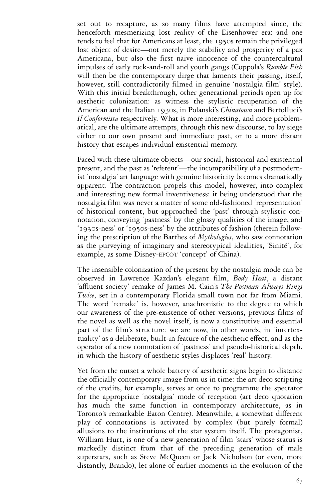set out to recapture, as so many films have attempted since, the henceforth mesmerizing lost reality of the Eisenhower era: and one tends to feel that for Americans at least, the 1950s remain the privileged lost object of desire—not merely the stability and prosperity of a pax Americana, but also the first naive innocence of the countercultural impulses of early rock-and-roll and youth gangs (Coppola's *Rumble Fish*  will then be the contemporary dirge that laments their passing, itself, however, still contradictorily filmed in genuine 'nostalgia film' style). With this initial breakthrough, other generational periods open up for aesthetic colonization: as witness the stylistic recuperation of the American and the Italian 1930s, in Polanski's *Chinatown* and Bertolluci's *Il Conformista* respectively. What is more interesting, and more problematical, are the ultimate attempts, through this new discourse, to lay siege either to our own present and immediate past, or to a more distant history that escapes individual existential memory.

Faced with these ultimate objects—our social, historical and existential present, and the past as 'referent'—the incompatibility of a postmodernist 'nostalgia' art language with genuine historicity becomes dramatically apparent. The contraction propels this model, however, into complex and interesting new formal inventiveness: it being understood that the nostalgia film was never a matter of some old-fashioned 'representation' of historical content, but approached the 'past' through stylistic connotation, conveying 'pastness' by the glossy qualities of the image, and '1930s-ness' or '1950s-ness' by the attributes of fashion (therein following the prescription of the Barthes of *Mythologies*, who saw connotation as the purveying of imaginary and stereotypical idealities, 'Sinité', for example, as some Disney-EPCOT 'concept' of China).

The insensible colonization of the present by the nostalgia mode can be observed in Lawrence Kazdan's elegant film, *Body Heat*, a distant 'affluent society' remake of James M. Cain's *The Postman Always Rings Twice*, set in a contemporary Florida small town not far from Miami. The word 'remake' is, however, anachronistic to the degree to which our awareness of the pre-existence of other versions, previous films of the novel as well as the novel itself, is now a constitutive and essential part of the film's structure: we are now, in other words, in 'intertextuality' as a deliberate, built-in feature of the aesthetic effect, and as the operator of a new connotation of 'pastness' and pseudo-historical depth, in which the history of aesthetic styles displaces 'real' history.

Yet from the outset a whole battery of aesthetic signs begin to distance the officially contemporary image from us in time: the art deco scripting of the credits, for example, serves at once to programme the spectator for the appropriate 'nostalgia' mode of reception (art deco quotation has much the same function in contemporary architecture, as in Toronto's remarkable Eaton Centre). Meanwhile, a somewhat different play of connotations is activated by complex (but purely formal) allusions to the institutions of the star system itself. The protagonist, William Hurt, is one of a new generation of film 'stars' whose status is markedly distinct from that of the preceding generation of male superstars, such as Steve McQueen or Jack Nicholson (or even, more distantly, Brando), let alone of earlier moments in the evolution of the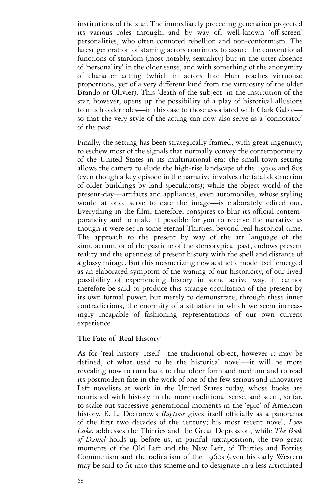institutions of the star. The immediately preceding generation projected its various roles through, and by way of, well-known 'off-screen' personalities, who often connoted rebellion and non-conformism. The latest generation of starring actors continues to assure the conventional functions of stardom (most notably, sexuality) but in the utter absence of 'personality' in the older sense, and with something of the anonymity of character acting (which in actors like Hurt reaches virtuouso proportions, yet of a very different kind from the virtuosity of the older Brando or Olivier). This 'death of the subject' in the institution of the star, however, opens up the possibility of a play of historical allusions to much older roles—in this case to those associated with Clark Gable so that the very style of the acting can now also serve as a 'connotator' of the past.

Finally, the setting has been strategically framed, with great ingenuity, to eschew most of the signals that normally convey the contemporaneity of the United States in its multinational era: the small-town setting allows the camera to elude the high-rise landscape of the 1970s and 80s (even though a key episode in the narrative involves the fatal destruction of older buildings by land speculators); while the object world of the present-day—artifacts and appliances, even automobiles, whose styling would at once serve to date the image—is elaborately edited out. Everything in the film, therefore, conspires to blur its official contemporaneity and to make it possible for you to receive the narrative as though it were set in some eternal Thirties, beyond real historical time. The approach to the present by way of the art language of the simulacrum, or of the pastiche of the stereotypical past, endows present reality and the openness of present history with the spell and distance of a glossy mirage. But this mesmerizing new aesthetic mode itself emerged as an elaborated symptom of the waning of our historicity, of our lived possibility of experiencing history in some active way: it cannot therefore be said to produce this strange occultation of the present by its own formal power, but merely to demonstrate, through these inner contradictions, the enormity of a situation in which we seem increasingly incapable of fashioning representations of our own current experience.

## **The Fate of 'Real History'**

As for 'real history' itself—the traditional object, however it may be defined, of what used to be the historical novel—it will be more revealing now to turn back to that older form and medium and to read its postmodern fate in the work of one of the few serious and innovative Left novelists at work in the United States today, whose books are nourished with history in the more traditional sense, and seem, so far, to stake out successive generational moments in the 'epic' of American history. E. L. Doctorow's *Ragtime* gives itself officially as a panorama of the first two decades of the century; his most recent novel, *Loon Lake*, addresses the Thirties and the Great Depression; while *The Book of Daniel* holds up before us, in painful juxtaposition, the two great moments of the Old Left and the New Left, of Thirties and Forties Communism and the radicalism of the 1960s (even his early Western may be said to fit into this scheme and to designate in a less articulated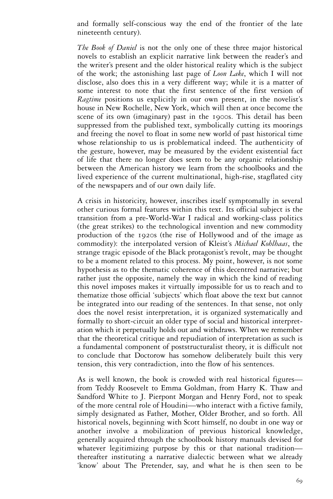and formally self-conscious way the end of the frontier of the late nineteenth century).

*The Book of Daniel* is not the only one of these three major historical novels to establish an explicit narrative link between the reader's and the writer's present and the older historical reality which is the subject of the work; the astonishing last page of *Loon Lake*, which I will not disclose, also does this in a very different way; while it is a matter of some interest to note that the first sentence of the first version of *Ragtime* positions us explicitly in our own present, in the novelist's house in New Rochelle, New York, which will then at once become the scene of its own (imaginary) past in the 1900s. This detail has been suppressed from the published text, symbolically cutting its moorings and freeing the novel to float in some new world of past historical time whose relationship to us is problematical indeed. The authenticity of the gesture, however, may be measured by the evident existential fact of life that there no longer does seem to be any organic relationship between the American history we learn from the schoolbooks and the lived experience of the current multinational, high-rise, stagflated city of the newspapers and of our own daily life.

A crisis in historicity, however, inscribes itself symptomally in several other curious formal features within this text. Its official subject is the transition from a pre-World-War I radical and working-class politics (the great strikes) to the technological invention and new commodity production of the 1920s (the rise of Hollywood and of the image as commodity): the interpolated version of Kleist's *Michael Kohlhaas*, the strange tragic episode of the Black protagonist's revolt, may be thought to be a moment related to this process. My point, however, is not some hypothesis as to the thematic coherence of this decentred narrative; but rather just the opposite, namely the way in which the kind of reading this novel imposes makes it virtually impossible for us to reach and to thematize those official 'subjects' which float above the text but cannot be integrated into our reading of the sentences. In that sense, not only does the novel resist interpretation, it is organized systematically and formally to short-circuit an older type of social and historical interpretation which it perpetually holds out and withdraws. When we remember that the theoretical critique and repudiation of interpretation as such is a fundamental component of poststructuralist theory, it is difficult not to conclude that Doctorow has somehow deliberately built this very tension, this very contradiction, into the flow of his sentences.

As is well known, the book is crowded with real historical figures from Teddy Roosevelt to Emma Goldman, from Harry K. Thaw and Sandford White to J. Pierpont Morgan and Henry Ford, not to speak of the more central role of Houdini—who interact with a fictive family, simply designated as Father, Mother, Older Brother, and so forth. All historical novels, beginning with Scott himself, no doubt in one way or another involve a mobilization of previous historical knowledge, generally acquired through the schoolbook history manuals devised for whatever legitimizing purpose by this or that national tradition thereafter instituting a narrative dialectic between what we already 'know' about The Pretender, say, and what he is then seen to be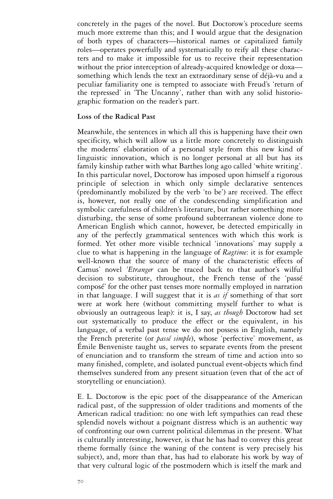concretely in the pages of the novel. But Doctorow's procedure seems much more extreme than this; and I would argue that the designation of both types of characters—historical names or capitalized family roles—operates powerfully and systematically to reify all these characters and to make it impossible for us to receive their representation without the prior interception of already-acquired knowledge or doxa something which lends the text an extraordinary sense of déjà-vu and a peculiar familiarity one is tempted to associate with Freud's 'return of the repressed' in 'The Uncanny', rather than with any solid historiographic formation on the reader's part.

# **Loss of the Radical Past**

Meanwhile, the sentences in which all this is happening have their own specificity, which will allow us a little more concretely to distinguish the moderns' elaboration of a personal style from this new kind of linguistic innovation, which is no longer personal at all but has its family kinship rather with what Barthes long ago called 'white writing'. In this particular novel, Doctorow has imposed upon himself a rigorous principle of selection in which only simple declarative sentences (predominantly mobilized by the verb 'to be') are received. The effect is, however, not really one of the condescending simplification and symbolic carefulness of children's literature, but rather something more disturbing, the sense of some profound subterranean violence done to American English which cannot, however, be detected empirically in any of the perfectly grammatical sentences with which this work is formed. Yet other more visible technical 'innovations' may supply a clue to what is happening in the language of *Ragtime*: it is for example well-known that the source of many of the characteristic effects of Camus' novel *'Etranger* can be traced back to that author's wilful decision to substitute, throughout, the French tense of the 'passé composé' for the other past tenses more normally employed in narration in that language. I will suggest that it is *as if* something of that sort were at work here (without committing myself further to what is obviously an outrageous leap): it is, I say, *as though* Doctorow had set out systematically to produce the effect or the equivalent, in his language, of a verbal past tense we do not possess in English, namely the French preterite (or *passé simple*), whose 'perfective' movement, as Émile Benveniste taught us, serves to separate events from the present of enunciation and to transform the stream of time and action into so many finished, complete, and isolated punctual event-objects which find themselves sundered from any present situation (even that of the act of storytelling or enunciation).

E. L. Doctorow is the epic poet of the disappearance of the American radical past, of the suppression of older traditions and moments of the American radical tradition: no one with left sympathies can read these splendid novels without a poignant distress which is an authentic way of confronting our own current political dilemmas in the present. What is culturally interesting, however, is that he has had to convey this great theme formally (since the waning of the content is very precisely his subject), and, more than that, has had to elaborate his work by way of that very cultural logic of the postmodern which is itself the mark and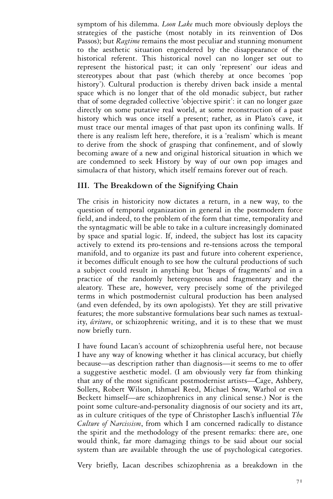symptom of his dilemma. *Loon Lake* much more obviously deploys the strategies of the pastiche (most notably in its reinvention of Dos Passos); but *Ragtime* remains the most peculiar and stunning monument to the aesthetic situation engendered by the disappearance of the historical referent. This historical novel can no longer set out to represent the historical past; it can only 'represent' our ideas and stereotypes about that past (which thereby at once becomes 'pop history'). Cultural production is thereby driven back inside a mental space which is no longer that of the old monadic subject, but rather that of some degraded collective 'objective spirit': it can no longer gaze directly on some putative real world, at some reconstruction of a past history which was once itself a present; rather, as in Plato's cave, it must trace our mental images of that past upon its confining walls. If there is any realism left here, therefore, it is a 'realism' which is meant to derive from the shock of grasping that confinement, and of slowly becoming aware of a new and original historical situation in which we are condemned to seek History by way of our own pop images and simulacra of that history, which itself remains forever out of reach.

# **III. The Breakdown of the Signifying Chain**

The crisis in historicity now dictates a return, in a new way, to the question of temporal organization in general in the postmodern force field, and indeed, to the problem of the form that time, temporality and the syntagmatic will be able to take in a culture increasingly dominated by space and spatial logic. If, indeed, the subject has lost its capacity actively to extend its pro-tensions and re-tensions across the temporal manifold, and to organize its past and future into coherent experience, it becomes difficult enough to see how the cultural productions of such a subject could result in anything but 'heaps of fragments' and in a practice of the randomly heterogeneous and fragmentary and the aleatory. These are, however, very precisely some of the privileged terms in which postmodernist cultural production has been analysed (and even defended, by its own apologists). Yet they are still privative features; the more substantive formulations bear such names as textuality, *écriture*, or schizophrenic writing, and it is to these that we must now briefly turn.

I have found Lacan's account of schizophrenia useful here, not because I have any way of knowing whether it has clinical accuracy, but chiefly because—as description rather than diagnosis—it seems to me to offer a suggestive aesthetic model. (I am obviously very far from thinking that any of the most significant postmodernist artists—Cage, Ashbery, Sollers, Robert Wilson, Ishmael Reed, Michael Snow, Warhol or even Beckett himself—are schizophrenics in any clinical sense.) Nor is the point some culture-and-personality diagnosis of our society and its art, as in culture critiques of the type of Christopher Lasch's influential *The Culture of Narcissism*, from which I am concerned radically to distance the spirit and the methodology of the present remarks: there are, one would think, far more damaging things to be said about our social system than are available through the use of psychological categories.

Very briefly, Lacan describes schizophrenia as a breakdown in the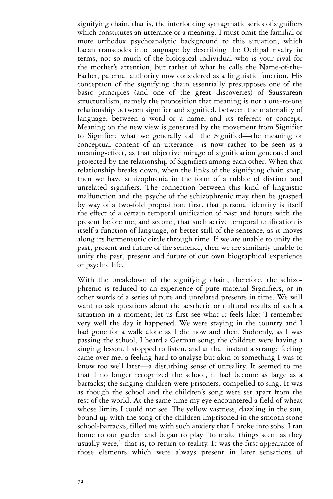signifying chain, that is, the interlocking syntagmatic series of signifiers which constitutes an utterance or a meaning. I must omit the familial or more orthodox psychoanalytic background to this situation, which Lacan transcodes into language by describing the Oedipal rivalry in terms, not so much of the biological individual who is your rival for the mother's attention, but rather of what he calls the Name-of-the-Father, paternal authority now considered as a linguistic function. His conception of the signifying chain essentially presupposes one of the basic principles (and one of the great discoveries) of Saussurean structuralism, namely the proposition that meaning is not a one-to-one relationship between signifier and signified, between the materiality of language, between a word or a name, and its referent or concept. Meaning on the new view is generated by the movement from Signifier to Signifier: what we generally call the Signified—the meaning or conceptual content of an utterance—is now rather to be seen as a meaning-effect, as that objective mirage of signification generated and projected by the relationship of Signifiers among each other. When that relationship breaks down, when the links of the signifying chain snap, then we have schizophrenia in the form of a rubble of distinct and unrelated signifiers. The connection between this kind of linguistic malfunction and the psyche of the schizophrenic may then be grasped by way of a two-fold proposition: first, that personal identity is itself the effect of a certain temporal unification of past and future with the present before me; and second, that such active temporal unification is itself a function of language, or better still of the sentence, as it moves along its hermeneutic circle through time. If we are unable to unify the past, present and future of the sentence, then we are similarly unable to unify the past, present and future of our own biographical experience or psychic life.

With the breakdown of the signifying chain, therefore, the schizophrenic is reduced to an experience of pure material Signifiers, or in other words of a series of pure and unrelated presents in time. We will want to ask questions about the aesthetic or cultural results of such a situation in a moment; let us first see what it feels like: 'I remember very well the day it happened. We were staying in the country and I had gone for a walk alone as I did now and then. Suddenly, as I was passing the school, I heard a German song; the children were having a singing lesson. I stopped to listen, and at that instant a strange feeling came over me, a feeling hard to analyse but akin to something I was to know too well later—a disturbing sense of unreality. It seemed to me that I no longer recognized the school, it had become as large as a barracks; the singing children were prisoners, compelled to sing. It was as though the school and the children's song were set apart from the rest of the world. At the same time my eye encountered a field of wheat whose limits I could not see. The yellow vastness, dazzling in the sun, bound up with the song of the children imprisoned in the smooth stone school-barracks, filled me with such anxiety that I broke into sobs. I ran home to our garden and began to play "to make things seem as they usually were," that is, to return to reality. It was the first appearance of those elements which were always present in later sensations of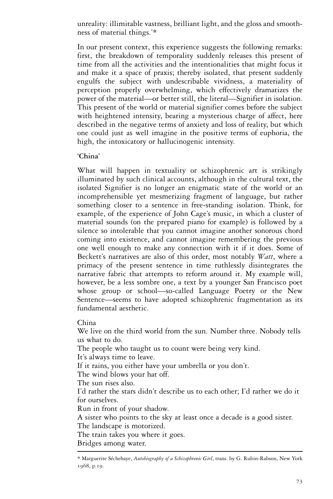unreality: illimitable vastness, brilliant light, and the gloss and smoothness of material things.'\*

In our present context, this experience suggests the following remarks: first, the breakdown of temporality suddenly releases this present of time from all the activities and the intentionalities that might focus it and make it a space of praxis; thereby isolated, that present suddenly engulfs the subject with undescribable vividness, a materiality of perception properly overwhelming, which effectively dramatizes the power of the material—or better still, the literal—Signifier in isolation. This present of the world or material signifier comes before the subject with heightened intensity, bearing a mysterious charge of affect, here described in the negative terms of anxiety and loss of reality, but which one could just as well imagine in the positive terms of euphoria, the high, the intoxicatory or hallucinogenic intensity.

# **'China'**

What will happen in textuality or schizophrenic art is strikingly illuminated by such clinical accounts, although in the cultural text, the isolated Signifier is no longer an enigmatic state of the world or an incomprehensible yet mesmerizing fragment of language, but rather something closer to a sentence in free-standing isolation. Think, for example, of the experience of John Cage's music, in which a cluster of material sounds (on the prepared piano for example) is followed by a silence so intolerable that you cannot imagine another sonorous chord coming into existence, and cannot imagine remembering the previous one well enough to make any connection with it if it does. Some of Beckett's narratives are also of this order, most notably *Watt*, where a primacy of the present sentence in time ruthlessly disintegrates the narrative fabric that attempts to reform around it. My example will, however, be a less sombre one, a text by a younger San Francisco poet whose group or school—so-called Language Poetry or the New Sentence—seems to have adopted schizophrenic fragmentation as its fundamental aesthetic.

## China

We live on the third world from the sun. Number three. Nobody tells us what to do. The people who taught us to count were being very kind. It's always time to leave. If it rains, you either have your umbrella or you don't. The wind blows your hat off. The sun rises also. I'd rather the stars didn't describe us to each other; I'd rather we do it for ourselves. Run in front of your shadow. A sister who points to the sky at least once a decade is a good sister. The landscape is motorized. The train takes you where it goes.

Bridges among water.

<sup>\*</sup> Marguerite Séchehaye, *Autobiography of a Schizophrenic Girl*, trans. by G. Rubin-Rabson, New York 1968, p.19.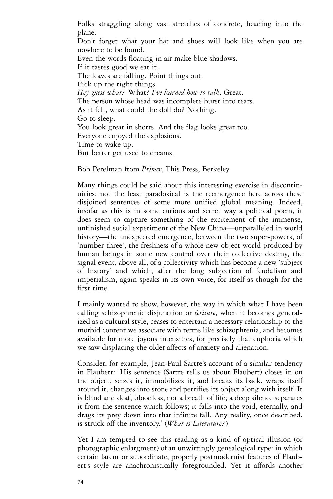Folks straggling along vast stretches of concrete, heading into the plane. Don't forget what your hat and shoes will look like when you are nowhere to be found. Even the words floating in air make blue shadows. If it tastes good we eat it. The leaves are falling. Point things out. Pick up the right things. *Hey guess what?* What? *I've learned how to talk*. Great. The person whose head was incomplete burst into tears. As it fell, what could the doll do? Nothing. Go to sleep. You look great in shorts. And the flag looks great too. Everyone enjoyed the explosions. Time to wake up. But better get used to dreams.

Bob Perelman from *Primer*, This Press, Berkeley

Many things could be said about this interesting exercise in discontinuities: not the least paradoxical is the reemergence here across these disjoined sentences of some more unified global meaning. Indeed, insofar as this is in some curious and secret way a political poem, it does seem to capture something of the excitement of the immense, unfinished social experiment of the New China—unparalleled in world history—the unexpected emergence, between the two super-powers, of 'number three', the freshness of a whole new object world produced by human beings in some new control over their collective destiny, the signal event, above all, of a collectivity which has become a new 'subject of history' and which, after the long subjection of feudalism and imperialism, again speaks in its own voice, for itself as though for the first time.

I mainly wanted to show, however, the way in which what I have been calling schizophrenic disjunction or *écriture*, when it becomes generalized as a cultural style, ceases to entertain a necessary relationship to the morbid content we associate with terms like schizophrenia, and becomes available for more joyous intensities, for precisely that euphoria which we saw displacing the older affects of anxiety and alienation.

Consider, for example, Jean-Paul Sartre's account of a similar tendency in Flaubert: 'His sentence (Sartre tells us about Flaubert) closes in on the object, seizes it, immobilizes it, and breaks its back, wraps itself around it, changes into stone and petrifies its object along with itself. It is blind and deaf, bloodless, not a breath of life; a deep silence separates it from the sentence which follows; it falls into the void, eternally, and drags its prey down into that infinite fall. Any reality, once described, is struck off the inventory.' (*What is Literature?*)

Yet I am tempted to see this reading as a kind of optical illusion (or photographic enlargment) of an unwittingly genealogical type: in which certain latent or subordinate, properly postmodernist features of Flaubert's style are anachronistically foregrounded. Yet it affords another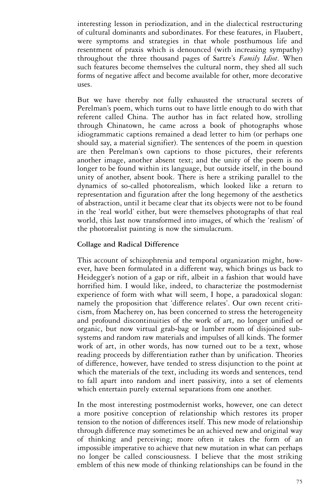interesting lesson in periodization, and in the dialectical restructuring of cultural dominants and subordinates. For these features, in Flaubert, were symptoms and strategies in that whole posthumous life and resentment of praxis which is denounced (with increasing sympathy) throughout the three thousand pages of Sartre's *Family Idiot*. When such features become themselves the cultural norm, they shed all such forms of negative affect and become available for other, more decorative uses.

But we have thereby not fully exhausted the structural secrets of Perelman's poem, which turns out to have little enough to do with that referent called China. The author has in fact related how, strolling through Chinatown, he came across a book of photographs whose idiogrammatic captions remained a dead letter to him (or perhaps one should say, a material signifier). The sentences of the poem in question are then Perelman's own captions to those pictures, their referents another image, another absent text; and the unity of the poem is no longer to be found within its language, but outside itself, in the bound unity of another, absent book. There is here a striking parallel to the dynamics of so-called photorealism, which looked like a return to representation and figuration after the long hegemony of the aesthetics of abstraction, until it became clear that its objects were not to be found in the 'real world' either, but were themselves photographs of that real world, this last now transformed into images, of which the 'realism' of the photorealist painting is now the simulacrum.

# **Collage and Radical Difference**

This account of schizophrenia and temporal organization might, however, have been formulated in a different way, which brings us back to Heidegger's notion of a gap or rift, albeit in a fashion that would have horrified him. I would like, indeed, to characterize the postmodernist experience of form with what will seem, I hope, a paradoxical slogan: namely the proposition that 'difference relates'. Our own recent criticism, from Macherey on, has been concerned to stress the heterogeneity and profound discontinuities of the work of art, no longer unified or organic, but now virtual grab-bag or lumber room of disjoined subsystems and random raw materials and impulses of all kinds. The former work of art, in other words, has now turned out to be a text, whose reading proceeds by differentiation rather than by unification. Theories of difference, however, have tended to stress disjunction to the point at which the materials of the text, including its words and sentences, tend to fall apart into random and inert passivity, into a set of elements which entertain purely external separations from one another.

In the most interesting postmodernist works, however, one can detect a more positive conception of relationship which restores its proper tension to the notion of differences itself. This new mode of relationship through difference may sometimes be an achieved new and original way of thinking and perceiving; more often it takes the form of an impossible imperative to achieve that new mutation in what can perhaps no longer be called consciousness. I believe that the most striking emblem of this new mode of thinking relationships can be found in the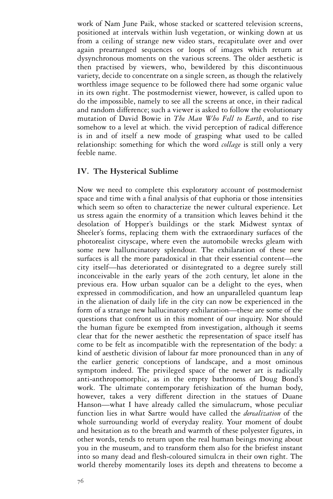work of Nam June Paik, whose stacked or scattered television screens, positioned at intervals within lush vegetation, or winking down at us from a ceiling of strange new video stars, recapitulate over and over again prearranged sequences or loops of images which return at dysynchronous moments on the various screens. The older aesthetic is then practised by viewers, who, bewildered by this discontinuous variety, decide to concentrate on a single screen, as though the relatively worthless image sequence to be followed there had some organic value in its own right. The postmodernist viewer, however, is called upon to do the impossible, namely to see all the screens at once, in their radical and random difference; such a viewer is asked to follow the evolutionary mutation of David Bowie in *The Man Who Fell to Earth*, and to rise somehow to a level at which. the vivid perception of radical difference is in and of itself a new mode of grasping what used to be called relationship: something for which the word *collage* is still only a very feeble name.

# **IV. The Hysterical Sublime**

Now we need to complete this exploratory account of postmodernist space and time with a final analysis of that euphoria or those intensities which seem so often to characterize the newer cultural experience. Let us stress again the enormity of a transition which leaves behind it the desolation of Hopper's buildings or the stark Midwest syntax of Sheeler's forms, replacing them with the extraordinary surfaces of the photorealist cityscape, where even the automobile wrecks gleam with some new halluncinatory splendour. The exhilaration of these new surfaces is all the more paradoxical in that their essential content—the city itself—has deteriorated or disintegrated to a degree surely still inconceivable in the early years of the 20th century, let alone in the previous era. How urban squalor can be a delight to the eyes, when expressed in commodification, and how an unparalleled quantum leap in the alienation of daily life in the city can now be experienced in the form of a strange new hallucinatory exhilaration—these are some of the questions that confront us in this moment of our inquiry. Nor should the human figure be exempted from investigation, although it seems clear that for the newer aesthetic the representation of space itself has come to be felt as incompatible with the representation of the body: a kind of aesthetic division of labour far more pronounced than in any of the earlier generic conceptions of landscape, and a most ominous symptom indeed. The privileged space of the newer art is radically anti-anthropomorphic, as in the empty bathrooms of Doug Bond's work. The ultimate contemporary fetishization of the human body, however, takes a very different direction in the statues of Duane Hanson—what I have already called the simulacrum, whose peculiar function lies in what Sartre would have called the *derealization* of the whole surrounding world of everyday reality. Your moment of doubt and hesitation as to the breath and warmth of these polyester figures, in other words, tends to return upon the real human beings moving about you in the museum, and to transform them also for the briefest instant into so many dead and flesh-coloured simulcra in their own right. The world thereby momentarily loses its depth and threatens to become a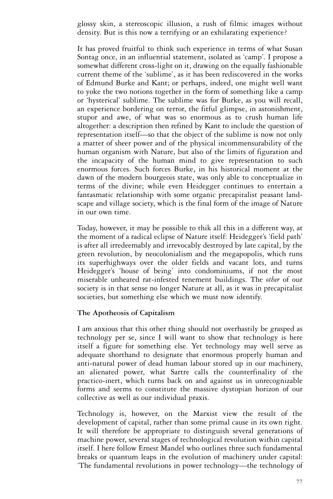glossy skin, a stereoscopic illusion, a rush of filmic images without density. But is this now a terrifying or an exhilarating experience?

It has proved fruitful to think such experience in terms of what Susan Sontag once, in an influential statement, isolated as 'camp'. I propose a somewhat different cross-light on it, drawing on the equally fashionable current theme of the 'sublime', as it has been rediscovered in the works of Edmund Burke and Kant; or perhaps, indeed, one might well want to yoke the two notions together in the form of something like a camp or 'hysterical' sublime. The sublime was for Burke, as you will recall, an experience bordering on terror, the fitful glimpse, in astonishment, stupor and awe, of what was so enormous as to crush human life altogether: a description then refined by Kant to include the question of representation itself—so that the object of the sublime is now not only a matter of sheer power and of the physical incommensurability of the human organism with Nature, but also of the limits of figuration and the incapacity of the human mind to give representation to such enormous forces. Such forces Burke, in his historical moment at the dawn of the modern bourgeois state, was only able to conceptualize in terms of the divine; while even Heidegger continues to entertain a fantasmatic relationship with some organic precapitalist peasant landscape and village society, which is the final form of the image of Nature in our own time.

Today, however, it may be possible to thik all this in a different way, at the moment of a radical eclipse of Nature itself: Heidegger's 'field path' is after all irredeemably and irrevocably destroyed by late capital, by the green revolution, by neocolonialism and the megapopolis, which runs its superhighways over the older fields and vacant lots, and turns Heidegger's 'house of being' into condominiums, if not the most miserable unheated rat-infested tenement buildings. The *other* of our society is in that sense no longer Nature at all, as it was in precapitalist societies, but something else which we must now identify.

## **The Apotheosis of Capitalism**

I am anxious that this other thing should not overhastily be grasped as technology per se, since I will want to show that technology is here itself a figure for something else. Yet technology may well serve as adequate shorthand to designate that enormous properly human and anti-natural power of dead human labour stored up in our machinery, an alienated power, what Sartre calls the counterfinality of the practico-inert, which turns back on and against us in unrecognizable forms and seems to constitute the massive dystopian horizon of our collective as well as our individual praxis.

Technology is, however, on the Marxist view the result of the development of capital, rather than some primal cause in its own right. It will therefore be appropriate to distinguish several generations of machine power, several stages of technological revolution within capital itself. I here follow Ernest Mandel who outlines three such fundamental breaks or quantum leaps in the evolution of machinery under capital: 'The fundamental revolutions in power technology—the technology of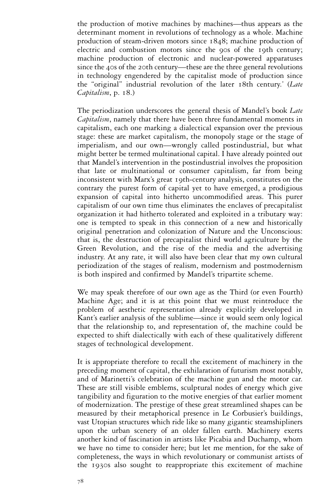the production of motive machines by machines—thus appears as the determinant moment in revolutions of technology as a whole. Machine production of steam-driven motors since 1848; machine production of electric and combustion motors since the 90s of the 19th century; machine production of electronic and nuclear-powered apparatuses since the 40s of the 20th century—these are the three general revolutions in technology engendered by the capitalist mode of production since the "original" industrial revolution of the later 18th century.' (*Late Capitalism*, p. 18.)

The periodization underscores the general thesis of Mandel's book *Late Capitalism*, namely that there have been three fundamental moments in capitalism, each one marking a dialectical expansion over the previous stage: these are market capitalism, the monopoly stage or the stage of imperialism, and our own—wrongly called postindustrial, but what might better be termed multinational capital. I have already pointed out that Mandel's intervention in the postindustrial involves the proposition that late or multinational or consumer capitalism, far from being inconsistent with Marx's great 19th-century analysis, constitutes on the contrary the purest form of capital yet to have emerged, a prodigious expansion of capital into hitherto uncommodified areas. This purer capitalism of our own time thus eliminates the enclaves of precapitalist organization it had hitherto tolerated and exploited in a tributary way: one is tempted to speak in this connection of a new and historically original penetration and colonization of Nature and the Unconscious: that is, the destruction of precapitalist third world agriculture by the Green Revolution, and the rise of the media and the advertising industry. At any rate, it will also have been clear that my own cultural periodization of the stages of realism, modernism and postmodernism is both inspired and confirmed by Mandel's tripartite scheme.

We may speak therefore of our own age as the Third (or even Fourth) Machine Age; and it is at this point that we must reintroduce the problem of aesthetic representation already explicitly developed in Kant's earlier analysis of the sublime—since it would seem only logical that the relationship to, and representation of, the machine could be expected to shift dialectically with each of these qualitatively different stages of technological development.

It is appropriate therefore to recall the excitement of machinery in the preceding moment of capital, the exhilaration of futurism most notably, and of Marinetti's celebration of the machine gun and the motor car. These are still visible emblems, sculptural nodes of energy which give tangibility and figuration to the motive energies of that earlier moment of modernization. The prestige of these great streamlined shapes can be measured by their metaphorical presence in Le Corbusier's buildings, vast Utopian structures which ride like so many gigantic steamshipliners upon the urban scenery of an older fallen earth. Machinery exerts another kind of fascination in artists like Picabia and Duchamp, whom we have no time to consider here; but let me mention, for the sake of completeness, the ways in which revolutionary or communist artists of the 1930s also sought to reappropriate this excitement of machine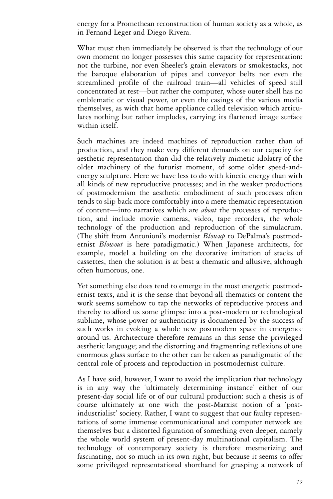energy for a Promethean reconstruction of human society as a whole, as in Fernand Leger and Diego Rivera.

What must then immediately be observed is that the technology of our own moment no longer possesses this same capacity for representation: not the turbine, nor even Sheeler's grain elevators or smokestacks, not the baroque elaboration of pipes and conveyor belts nor even the streamlined profile of the railroad train—all vehicles of speed still concentrated at rest—but rather the computer, whose outer shell has no emblematic or visual power, or even the casings of the various media themselves, as with that home appliance called television which articulates nothing but rather implodes, carrying its flattened image surface within itself.

Such machines are indeed machines of reproduction rather than of production, and they make very different demands on our capacity for aesthetic representation than did the relatively mimetic idolatry of the older machinery of the futurist moment, of some older speed-andenergy sculpture. Here we have less to do with kinetic energy than with all kinds of new reproductive processes; and in the weaker productions of postmodernism the aesthetic embodiment of such processes often tends to slip back more comfortably into a mere thematic representation of content—into narratives which are *about* the processes of reproduction, and include movie cameras, video, tape recorders, the whole technology of the production and reproduction of the simulacrum. (The shift from Antonioni's modernist *Blowup* to DePalma's postmodernist *Blowout* is here paradigmatic.) When Japanese architects, for example, model a building on the decorative imitation of stacks of cassettes, then the solution is at best a thematic and allusive, although often humorous, one.

Yet something else does tend to emerge in the most energetic postmodernist texts, and it is the sense that beyond all thematics or content the work seems somehow to tap the networks of reproductive process and thereby to afford us some glimpse into a post-modern or technological sublime, whose power or authenticity is documented by the success of such works in evoking a whole new postmodern space in emergence around us. Architecture therefore remains in this sense the privileged aesthetic language; and the distorting and fragmenting reflexions of one enormous glass surface to the other can be taken as paradigmatic of the central role of process and reproduction in postmodernist culture.

As I have said, however, I want to avoid the implication that technology is in any way the 'ultimately determining instance' either of our present-day social life or of our cultural production: such a thesis is of course ultimately at one with the post-Marxist notion of a 'postindustrialist' society. Rather, I want to suggest that our faulty representations of some immense communicational and computer network are themselves but a distorted figuration of something even deeper, namely the whole world system of present-day multinational capitalism. The technology of contemporary society is therefore mesmerizing and fascinating, not so much in its own right, but because it seems to offer some privileged representational shorthand for grasping a network of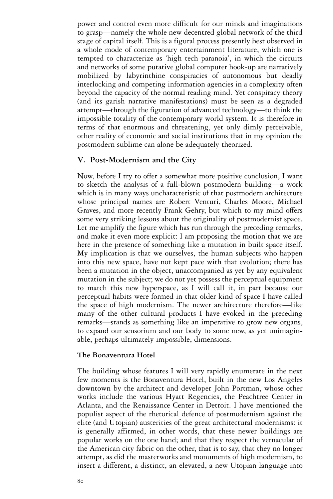power and control even more difficult for our minds and imaginations to grasp—namely the whole new decentred global network of the third stage of capital itself. This is a figural process presently best observed in a whole mode of contemporary entertainment literature, which one is tempted to characterize as 'high tech paranoia', in which the circuits and networks of some putative global computer hook-up are narratively mobilized by labyrinthine conspiracies of autonomous but deadly interlocking and competing information agencies in a complexity often beyond the capacity of the normal reading mind. Yet conspiracy theory (and its garish narrative manifestations) must be seen as a degraded attempt—through the figuration of advanced technology—to think the impossible totality of the contemporary world system. It is therefore in terms of that enormous and threatening, yet only dimly perceivable, other reality of economic and social institutions that in my opinion the postmodern sublime can alone be adequately theorized.

# **V. Post-Modernism and the City**

Now, before I try to offer a somewhat more positive conclusion, I want to sketch the analysis of a full-blown postmodern building—a work which is in many ways uncharacteristic of that postmodern architecture whose principal names are Robert Venturi, Charles Moore, Michael Graves, and more recently Frank Gehry, but which to my mind offers some very striking lessons about the originality of postmodernist space. Let me amplify the figure which has run through the preceding remarks, and make it even more explicit: I am proposing the motion that we are here in the presence of something like a mutation in built space itself. My implication is that we ourselves, the human subjects who happen into this new space, have not kept pace with that evolution; there has been a mutation in the object, unaccompanied as yet by any equivalent mutation in the subject; we do not yet possess the perceptual equipment to match this new hyperspace, as I will call it, in part because our perceptual habits were formed in that older kind of space I have called the space of high modernism. The newer architecture therefore—like many of the other cultural products I have evoked in the preceding remarks—stands as something like an imperative to grow new organs, to expand our sensorium and our body to some new, as yet unimaginable, perhaps ultimately impossible, dimensions.

## **The Bonaventura Hotel**

The building whose features I will very rapidly enumerate in the next few moments is the Bonaventura Hotel, built in the new Los Angeles downtown by the architect and developer John Portman, whose other works include the various Hyatt Regencies, the Peachtree Center in Atlanta, and the Renaissance Center in Detroit. I have mentioned the populist aspect of the rhetorical defence of postmodernism against the elite (and Utopian) austerities of the great architectural modernisms: it is generally affirmed, in other words, that these newer buildings are popular works on the one hand; and that they respect the vernacular of the American city fabric on the other, that is to say, that they no longer attempt, as did the masterworks and monuments of high modernism, to insert a different, a distinct, an elevated, a new Utopian language into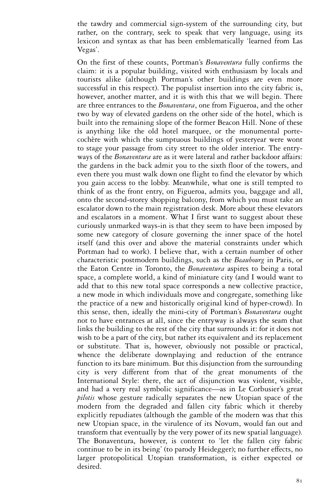the tawdry and commercial sign-system of the surrounding city, but rather, on the contrary, seek to speak that very language, using its lexicon and syntax as that has been emblematically 'learned from Las Vegas'.

On the first of these counts, Portman's *Bonaventura* fully confirms the claim: it is a popular building, visited with enthusiasm by locals and tourists alike (although Portman's other buildings are even more successful in this respect). The populist insertion into the city fabric is, however, another matter, and it is with this that we will begin. There are three entrances to the *Bonaventura*, one from Figueroa, and the other two by way of elevated gardens on the other side of the hotel, which is built into the remaining slope of the former Beacon Hill. None of these is anything like the old hotel marquee, or the monumental portecochère with which the sumptuous buildings of yesteryear were wont to stage your passage from city street to the older interior. The entryways of the *Bonaventura* are as it were lateral and rather backdoor affairs: the gardens in the back admit you to the sixth floor of the towers, and even there you must walk down one flight to find the elevator by which you gain access to the lobby. Meanwhile, what one is still tempted to think of as the front entry, on Figueroa, admits you, baggage and all, onto the second-storey shopping balcony, from which you must take an escalator down to the main registration desk. More about these elevators and escalators in a moment. What I first want to suggest about these curiously unmarked ways-in is that they seem to have been imposed by some new category of closure governing the inner space of the hotel itself (and this over and above the material constraints under which Portman had to work). I believe that, with a certain number of other characteristic postmodern buildings, such as the *Beaubourg* in Paris, or the Eaton Centre in Toronto, the *Bonaventura* aspires to being a total space, a complete world, a kind of miniature city (and I would want to add that to this new total space corresponds a new collective practice, a new mode in which individuals move and congregate, something like the practice of a new and historically original kind of hyper-crowd). In this sense, then, ideally the mini-city of Portman's *Bonaventura* ought not to have entrances at all, since the entryway is always the seam that links the building to the rest of the city that surrounds it: for it does not wish to be a part of the city, but rather its equivalent and its replacement or substitute. That is, however, obviously not possible or practical, whence the deliberate downplaying and reduction of the entrance function to its bare minimum. But this disjunction from the surrounding city is very different from that of the great monuments of the International Style: there, the act of disjunction was violent, visible, and had a very real symbolic significance—as in Le Corbusier's great *pilotis* whose gesture radically separates the new Utopian space of the modern from the degraded and fallen city fabric which it thereby explicitly repudiates (although the gamble of the modern was that this new Utopian space, in the virulence of its Novum, would fan out and transform that eventually by the very power of its new spatial language). The Bonaventura, however, is content to 'let the fallen city fabric continue to be in its being' (to parody Heidegger); no further effects, no larger protopolitical Utopian transformation, is either expected or desired.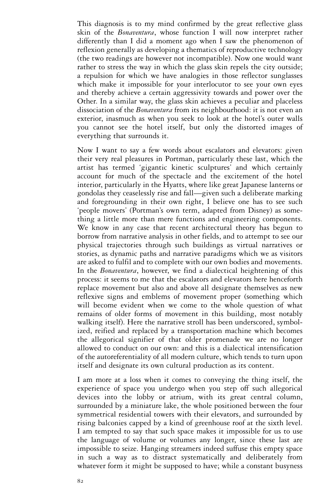This diagnosis is to my mind confirmed by the great reflective glass skin of the *Bonaventura*, whose function I will now interpret rather differently than I did a moment ago when I saw the phenomenon of reflexion generally as developing a thematics of reproductive technology (the two readings are however not incompatible). Now one would want rather to stress the way in which the glass skin repels the city outside; a repulsion for which we have analogies in those reflector sunglasses which make it impossible for your interlocutor to see your own eyes and thereby achieve a certain aggressivity towards and power over the Other. In a similar way, the glass skin achieves a peculiar and placeless dissociation of the *Bonaventura* from its neighbourhood: it is not even an exterior, inasmuch as when you seek to look at the hotel's outer walls you cannot see the hotel itself, but only the distorted images of everything that surrounds it.

Now I want to say a few words about escalators and elevators: given their very real pleasures in Portman, particularly these last, which the artist has termed 'gigantic kinetic sculptures' and which certainly account for much of the spectacle and the excitement of the hotel interior, particularly in the Hyatts, where like great Japanese lanterns or gondolas they ceaselessly rise and fall—given such a deliberate marking and foregrounding in their own right, I believe one has to see such 'people movers' (Portman's own term, adapted from Disney) as something a little more than mere functions and engineering components. We know in any case that recent architectural theory has begun to borrow from narrative analysis in other fields, and to attempt to see our physical trajectories through such buildings as virtual narratives or stories, as dynamic paths and narrative paradigms which we as visitors are asked to fulfil and to complete with our own bodies and movements. In the *Bonaventura*, however, we find a dialectical heightening of this process: it seems to me that the escalators and elevators here henceforth replace movement but also and above all designate themselves as new reflexive signs and emblems of movement proper (something which will become evident when we come to the whole question of what remains of older forms of movement in this building, most notably walking itself). Here the narrative stroll has been underscored, symbolized, reified and replaced by a transportation machine which becomes the allegorical signifier of that older promenade we are no longer allowed to conduct on our own: and this is a dialectical intensification of the autoreferentiality of all modern culture, which tends to turn upon itself and designate its own cultural production as its content.

I am more at a loss when it comes to conveying the thing itself, the experience of space you undergo when you step off such allegorical devices into the lobby or atrium, with its great central column, surrounded by a miniature lake, the whole positioned between the four symmetrical residential towers with their elevators, and surrounded by rising balconies capped by a kind of greenhouse roof at the sixth level. I am tempted to say that such space makes it impossible for us to use the language of volume or volumes any longer, since these last are impossible to seize. Hanging streamers indeed suffuse this empty space in such a way as to distract systematically and deliberately from whatever form it might be supposed to have; while a constant busyness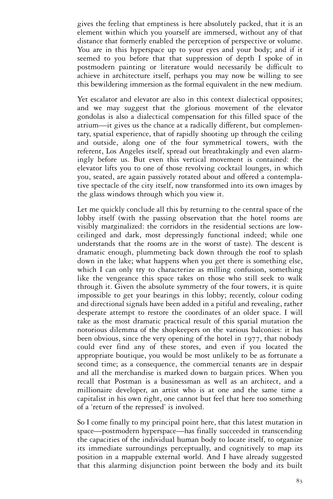gives the feeling that emptiness is here absolutely packed, that it is an element within which you yourself are immersed, without any of that distance that formerly enabled the perception of perspective or volume. You are in this hyperspace up to your eyes and your body; and if it seemed to you before that that suppression of depth I spoke of in postmodern painting or literature would necessarily be difficult to achieve in architecture itself, perhaps you may now be willing to see this bewildering immersion as the formal equivalent in the new medium.

Yet escalator and elevator are also in this context dialectical opposites; and we may suggest that the glorious movement of the elevator gondolas is also a dialectical compensation for this filled space of the atrium—it gives us the chance at a radically different, but complementary, spatial experience, that of rapidly shooting up through the ceiling and outside, along one of the four symmetrical towers, with the referent, Los Angeles itself, spread out breathtakingly and even alarmingly before us. But even this vertical movement is contained: the elevator lifts you to one of those revolving cocktail lounges, in which you, seated, are again passively rotated about and offered a contemplative spectacle of the city itself, now transformed into its own images by the glass windows through which you view it.

Let me quickly conclude all this by returning to the central space of the lobby itself (with the passing observation that the hotel rooms are visibly marginalized: the corridors in the residential sections are lowceilinged and dark, most depressingly functional indeed; while one understands that the rooms are in the worst of taste). The descent is dramatic enough, plummeting back down through the roof to splash down in the lake; what happens when you get there is something else, which I can only try to characterize as milling confusion, something like the vengeance this space takes on those who still seek to walk through it. Given the absolute symmetry of the four towers, it is quite impossible to get your bearings in this lobby; recently, colour coding and directional signals have been added in a pitiful and revealing, rather desperate attempt to restore the coordinates of an older space. I will take as the most dramatic practical result of this spatial mutation the notorious dilemma of the shopkeepers on the various balconies: it has been obvious, since the very opening of the hotel in 1977, that nobody could ever find any of these stores, and even if you located the appropriate boutique, you would be most unlikely to be as fortunate a second time; as a consequence, the commercial tenants are in despair and all the merchandise is marked down to bargain prices. When you recall that Postman is a businessman as well as an architect, and a millionaire developer, an artist who is at one and the same time a capitalist in his own right, one cannot but feel that here too something of a 'return of the repressed' is involved.

So I come finally to my principal point here, that this latest mutation in space—postmodern hyperspace—has finally succeeded in transcending the capacities of the individual human body to locate itself, to organize its immediate surroundings perceptually, and cognitively to map its position in a mappable external world. And I have already suggested that this alarming disjunction point between the body and its built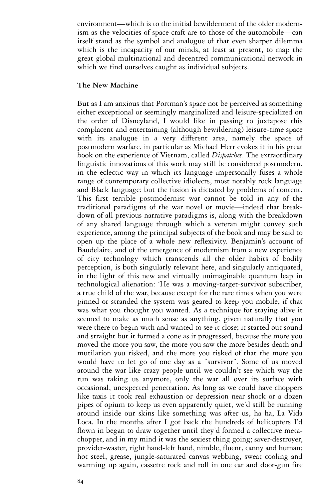environment—which is to the initial bewilderment of the older modernism as the velocities of space craft are to those of the automobile—can itself stand as the symbol and analogue of that even sharper dilemma which is the incapacity of our minds, at least at present, to map the great global multinational and decentred communicational network in which we find ourselves caught as individual subjects.

### **The New Machine**

But as I am anxious that Portman's space not be perceived as something either exceptional or seemingly marginalized and leisure-specialized on the order of Disneyland, I would like in passing to juxtapose this complacent and entertaining (although bewildering) leisure-time space with its analogue in a very different area, namely the space of postmodern warfare, in particular as Michael Herr evokes it in his great book on the experience of Vietnam, called *Dispatches*. The extraordinary linguistic innovations of this work may still be considered postmodern, in the eclectic way in which its language impersonally fuses a whole range of contemporary collective idiolects, most notably rock language and Black language: but the fusion is dictated by problems of content. This first terrible postmodernist war cannot be told in any of the traditional paradigms of the war novel or movie—indeed that breakdown of all previous narrative paradigms is, along with the breakdown of any shared language through which a veteran might convey such experience, among the principal subjects of the book and may be said to open up the place of a whole new reflexivity. Benjamin's account of Baudelaire, and of the emergence of modernism from a new experience of city technology which transcends all the older habits of bodily perception, is both singularly relevant here, and singularly antiquated, in the light of this new and virtually unimaginable quantum leap in technological alienation: 'He was a moving-target-survivor subscriber, a true child of the war, because except for the rare times when you were pinned or stranded the system was geared to keep you mobile, if that was what you thought you wanted. As a technique for staying alive it seemed to make as much sense as anything, given naturally that you were there to begin with and wanted to see it close; it started out sound and straight but it formed a cone as it progressed, because the more you moved the more you saw, the more you saw the more besides death and mutilation you risked, and the more you risked of that the more you would have to let go of one day as a "survivor". Some of us moved around the war like crazy people until we couldn't see which way the run was taking us anymore, only the war all over its surface with occasional, unexpected penetration. As long as we could have choppers like taxis it took real exhaustion or depression near shock or a dozen pipes of opium to keep us even apparently quiet, we'd still be running around inside our skins like something was after us, ha ha, La Vida Loca. In the months after I got back the hundreds of helicopters I'd flown in began to draw together until they'd formed a collective metachopper, and in my mind it was the sexiest thing going; saver-destroyer, provider-waster, right hand-left hand, nimble, fluent, canny and human; hot steel, grease, jungle-saturated canvas webbing, sweat cooling and warming up again, cassette rock and roll in one ear and door-gun fire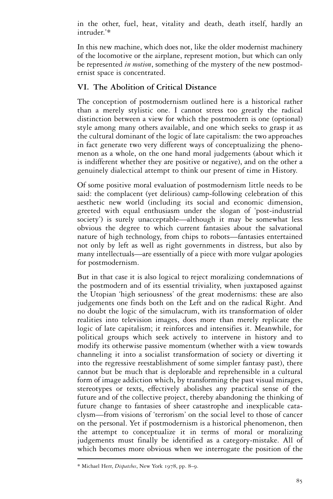in the other, fuel, heat, vitality and death, death itself, hardly an intruder.'\*

In this new machine, which does not, like the older modernist machinery of the locomotive or the airplane, represent motion, but which can only be represented *in motion*, something of the mystery of the new postmodernist space is concentrated.

# **VI. The Abolition of Critical Distance**

The conception of postmodernism outlined here is a historical rather than a merely stylistic one. I cannot stress too greatly the radical distinction between a view for which the postmodern is one (optional) style among many others available, and one which seeks to grasp it as the cultural dominant of the logic of late capitalism: the two approaches in fact generate two very different ways of conceptualizing the phenomenon as a whole, on the one hand moral judgements (about which it is indifferent whether they are positive or negative), and on the other a genuinely dialectical attempt to think our present of time in History.

Of some positive moral evaluation of postmodernism little needs to be said: the complacent (yet delirious) camp-following celebration of this aesthetic new world (including its social and economic dimension, greeted with equal enthusiasm under the slogan of 'post-industrial society') is surely unacceptable—although it may be somewhat less obvious the degree to which current fantasies about the salvational nature of high technology, from chips to robots—fantasies entertained not only by left as well as right governments in distress, but also by many intellectuals—are essentially of a piece with more vulgar apologies for postmodernism.

But in that case it is also logical to reject moralizing condemnations of the postmodern and of its essential triviality, when juxtaposed against the Utopian 'high seriousness' of the great modernisms: these are also judgements one finds both on the Left and on the radical Right. And no doubt the logic of the simulacrum, with its transformation of older realities into television images, does more than merely replicate the logic of late capitalism; it reinforces and intensifies it. Meanwhile, for political groups which seek actively to intervene in history and to modify its otherwise passive momentum (whether with a view towards channeling it into a socialist transformation of society or diverting it into the regressive reestablishment of some simpler fantasy past), there cannot but be much that is deplorable and reprehensible in a cultural form of image addiction which, by transforming the past visual mirages, stereotypes or texts, effectively abolishes any practical sense of the future and of the collective project, thereby abandoning the thinking of future change to fantasies of sheer catastrophe and inexplicable cataclysm—from visions of 'terrorism' on the social level to those of cancer on the personal. Yet if postmodernism is a historical phenomenon, then the attempt to conceptualize it in terms of moral or moralizing judgements must finally be identified as a category-mistake. All of which becomes more obvious when we interrogate the position of the

<sup>\*</sup> Michael Herr, *Dispatches*, New York 1978, pp. 8–9.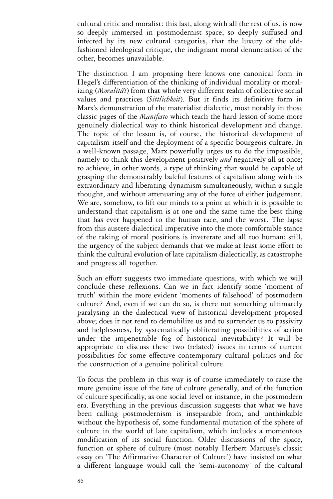cultural critic and moralist: this last, along with all the rest of us, is now so deeply immersed in postmodernist space, so deeply suffused and infected by its new cultural categories, that the luxury of the oldfashioned ideological critique, the indignant moral denunciation of the other, becomes unavailable.

The distinction I am proposing here knows one canonical form in Hegel's differentiation of the thinking of individual morality or moralizing (*Moralität*) from that whole very different realm of collective social values and practices (*Sittlichkeit*). But it finds its definitive form in Marx's demonstration of the materialist dialectic, most notably in those classic pages of the *Manifesto* which teach the hard lesson of some more genuinely dialectical way to think historical development and change. The topic of the lesson is, of course, the historical development of capitalism itself and the deployment of a specific bourgeois culture. In a well-known passage, Marx powerfully urges us to do the impossible, namely to think this development positively *and* negatively all at once; to achieve, in other words, a type of thinking that would be capable of grasping the demonstrably baleful features of capitalism along with its extraordinary and liberating dynamism simultaneously, within a single thought, and without attenuating any of the force of either judgement. We are, somehow, to lift our minds to a point at which it is possible to understand that capitalism is at one and the same time the best thing that has ever happened to the human race, and the worst. The lapse from this austere dialectical imperative into the more comfortable stance of the taking of moral positions is inveterate and all too human: still, the urgency of the subject demands that we make at least some effort to think the cultural evolution of late capitalism dialectically, as catastrophe and progress all together.

Such an effort suggests two immediate questions, with which we will conclude these reflexions. Can we in fact identify some 'moment of truth' within the more evident 'moments of falsehood' of postmodern culture? And, even if we can do so, is there not something ultimately paralysing in the dialectical view of historical development proposed above; does it not tend to demobilize us and to surrender us to passivity and helplessness, by systematically obliterating possibilities of action under the impenetrable fog of historical inevitability? It will be appropriate to discuss these two (related) issues in terms of current possibilities for some effective contemporary cultural politics and for the construction of a genuine political culture.

To focus the problem in this way is of course immediately to raise the more genuine issue of the fate of culture generally, and of the function of culture specifically, as one social level or instance, in the postmodern era. Everything in the previous discussion suggests that what we have been calling postmodernism is inseparable from, and unthinkable without the hypothesis of, some fundamental mutation of the sphere of culture in the world of late capitalism, which includes a momentous modification of its social function. Older discussions of the space, function or sphere of culture (most notably Herbert Marcuse's classic essay on 'The Affirmative Character of Culture') have insisted on what a different language would call the 'semi-autonomy' of the cultural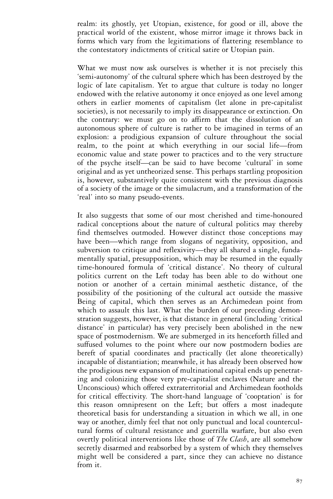realm: its ghostly, yet Utopian, existence, for good or ill, above the practical world of the existent, whose mirror image it throws back in forms which vary from the legitimations of flattering resemblance to the contestatory indictments of critical satire or Utopian pain.

What we must now ask ourselves is whether it is not precisely this 'semi-autonomy' of the cultural sphere which has been destroyed by the logic of late capitalism. Yet to argue that culture is today no longer endowed with the relative autonomy it once enjoyed as one level among others in earlier moments of capitalism (let alone in pre-capitalist societies), is not necessarily to imply its disappearance or extinction. On the contrary: we must go on to affirm that the dissolution of an autonomous sphere of culture is rather to be imagined in terms of an explosion: a prodigious expansion of culture throughout the social realm, to the point at which everything in our social life—from economic value and state power to practices and to the very structure of the psyche itself—can be said to have become 'cultural' in some original and as yet untheorized sense. This perhaps startling proposition is, however, substantively quite consistent with the previous diagnosis of a society of the image or the simulacrum, and a transformation of the 'real' into so many pseudo-events.

It also suggests that some of our most cherished and time-honoured radical conceptions about the nature of cultural politics may thereby find themselves outmoded. However distinct those conceptions may have been—which range from slogans of negativity, opposition, and subversion to critique and reflexivity—they all shared a single, fundamentally spatial, presupposition, which may be resumed in the equally time-honoured formula of 'critical distance'. No theory of cultural politics current on the Left today has been able to do without one notion or another of a certain minimal aesthetic distance, of the possibility of the positioning of the cultural act outside the massive Being of capital, which then serves as an Archimedean point from which to assault this last. What the burden of our preceding demonstration suggests, however, is that distance in general (including 'critical distance' in particular) has very precisely been abolished in the new space of postmodernism. We are submerged in its henceforth filled and suffused volumes to the point where our now postmodern bodies are bereft of spatial coordinates and practically (let alone theoretically) incapable of distantiation; meanwhile, it has already been observed how the prodigious new expansion of multinational capital ends up penetrating and colonizing those very pre-capitalist enclaves (Nature and the Unconscious) which offered extraterritorial and Archimedean footholds for critical effectivity. The short-hand language of 'cooptation' is for this reason omnipresent on the Left; but offers a most inadequte theoretical basis for understanding a situation in which we all, in one way or another, dimly feel that not only punctual and local countercultural forms of cultural resistance and guerrilla warfare, but also even overtly political interventions like those of *The Clash*, are all somehow secretly disarmed and reabsorbed by a system of which they themselves might well be considered a part, since they can achieve no distance from it.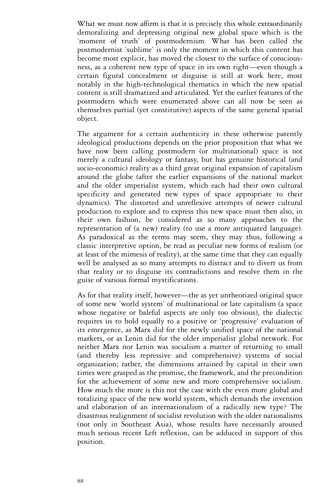What we must now affirm is that it is precisely this whole extraordinarily demoralizing and depressing original new global space which is the 'moment of truth' of postmodernism. What has been called the postmodernist 'sublime' is only the moment in which this content has become most explicit, has moved the closest to the surface of consciousness, as a coherent new type of space in its own right—even though a certain figural concealment or disguise is still at work here, most notably in the high-technological thematics in which the new spatial content is still dramatized and articulated. Yet the earlier features of the postmodern which were enumerated above can all now be seen as themselves partial (yet constitutive) aspects of the same general spatial object.

The argument for a certain authenticity in these otherwise patently ideological productions depends on the prior proposition that what we have now been calling postmodern (or multinational) space is not merely a cultural ideology or fantasy, but has genuine historical (and socio-economic) reality as a third great original expansion of capitalism around the globe (after the earlier expansions of the national market and the older imperialist system, which each had their own cultural specificity and generated new types of space appropriate to their dynamics). The distorted and unreflexive attempts of newer cultural production to explore and to express this new space must then also, in their own fashion, be considered as so many approaches to the representation of (a new) reality (to use a more antiquated language). As paradoxical as the terms may seem, they may thus, following a classic interpretive option, be read as peculiar new forms of realism (or at least of the mimesis of reality), at the same time that they can equally well be analysed as so many attempts to distract and to divert us from that reality or to disguise its contradictions and resolve them in the guise of various formal mystifications.

As for that reality itself, however—the as yet untheorized original space of some new 'world system' of multinational or late capitalism (a space whose negative or baleful aspects are only too obvious), the dialectic requires us to hold equally to a positive or 'progressive' evaluation of its emergence, as Marx did for the newly unified space of the national markets, or as Lenin did for the older imperialist global network. For neither Marx nor Lenin was socialism a matter of returning to small (and thereby less repressive and comprehensive) systems of social organization; rather, the dimensions attained by capital in their own times were grasped as the promise, the framework, and the precondition for the achievement of some new and more comprehensive socialism. How much the more is this not the case with the even more global and totalizing space of the new world system, which demands the invention and elaboration of an internationalism of a radically new type? The disastrous realignment of socialist revolution with the older nationalisms (not only in Southeast Asia), whose results have necessarily aroused much serious recent Left reflexion, can be adduced in support of this position.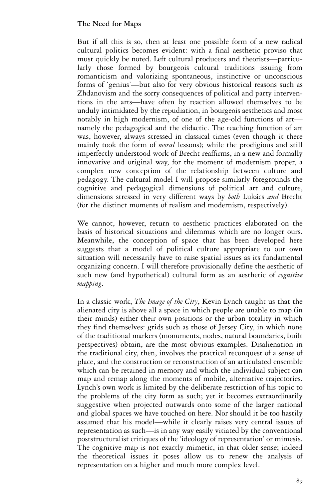# **The Need for Maps**

But if all this is so, then at least one possible form of a new radical cultural politics becomes evident: with a final aesthetic proviso that must quickly be noted. Left cultural producers and theorists—particularly those formed by bourgeois cultural traditions issuing from romanticism and valorizing spontaneous, instinctive or unconscious forms of 'genius'—but also for very obvious historical reasons such as Zhdanovism and the sorry consequences of political and party interventions in the arts—have often by reaction allowed themselves to be unduly intimidated by the repudiation, in bourgeois aesthetics and most notably in high modernism, of one of the age-old functions of art namely the pedagogical and the didactic. The teaching function of art was, however, always stressed in classical times (even though it there mainly took the form of *moral* lessons); while the prodigious and still imperfectly understood work of Brecht reaffirms, in a new and formally innovative and original way, for the moment of modernism proper, a complex new conception of the relationship between culture and pedagogy. The cultural model I will propose similarly foregrounds the cognitive and pedagogical dimensions of political art and culture, dimensions stressed in very different ways by *both* Lukács *and* Brecht (for the distinct moments of realism and modernism, respectively).

We cannot, however, return to aesthetic practices elaborated on the basis of historical situations and dilemmas which are no longer ours. Meanwhile, the conception of space that has been developed here suggests that a model of political culture appropriate to our own situation will necessarily have to raise spatial issues as its fundamental organizing concern. I will therefore provisionally define the aesthetic of such new (and hypothetical) cultural form as an aesthetic of *cognitive mapping*.

In a classic work, *The Image of the City*, Kevin Lynch taught us that the alienated city is above all a space in which people are unable to map (in their minds) either their own positions or the urban totality in which they find themselves: grids such as those of Jersey City, in which none of the traditional markers (monuments, nodes, natural boundaries, built perspectives) obtain, are the most obvious examples. Disalienation in the traditional city, then, involves the practical reconquest of a sense of place, and the construction or reconstruction of an articulated ensemble which can be retained in memory and which the individual subject can map and remap along the moments of mobile, alternative trajectories. Lynch's own work is limited by the deliberate restriction of his topic to the problems of the city form as such; yet it becomes extraordinarily suggestive when projected outwards onto some of the larger national and global spaces we have touched on here. Nor should it be too hastily assumed that his model—while it clearly raises very central issues of representation as such—is in any way easily vitiated by the conventional poststructuralist critiques of the 'ideology of representation' or mimesis. The cognitive map is not exactly mimetic, in that older sense; indeed the theoretical issues it poses allow us to renew the analysis of representation on a higher and much more complex level.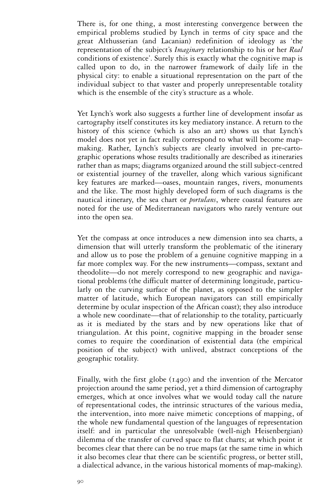There is, for one thing, a most interesting convergence between the empirical problems studied by Lynch in terms of city space and the great Althusserian (and Lacanian) redefinition of ideology as 'the representation of the subject's *Imaginary* relationship to his or her *Real*  conditions of existence'. Surely this is exactly what the cognitive map is called upon to do, in the narrower framework of daily life in the physical city: to enable a situational representation on the part of the individual subject to that vaster and properly unrepresentable totality which is the ensemble of the city's structure as a whole.

Yet Lynch's work also suggests a further line of development insofar as cartography itself constitutes its key mediatory instance. A return to the history of this science (which is also an art) shows us that Lynch's model does not yet in fact really correspond to what will become mapmaking. Rather, Lynch's subjects are clearly involved in pre-cartographic operations whose results traditionally are described as itineraries rather than as maps; diagrams organized around the still subject-centred or existential journey of the traveller, along which various significant key features are marked—oases, mountain ranges, rivers, monuments and the like. The most highly developed form of such diagrams is the nautical itinerary, the sea chart or *portulans*, where coastal features are noted for the use of Mediterranean navigators who rarely venture out into the open sea.

Yet the compass at once introduces a new dimension into sea charts, a dimension that will utterly transform the problematic of the itinerary and allow us to pose the problem of a genuine cognitive mapping in a far more complex way. For the new instruments—compass, sextant and theodolite—do not merely correspond to new geographic and navigational problems (the difficult matter of determining longitude, particularly on the curving surface of the planet, as opposed to the simpler matter of latitude, which European navigators can still empirically determine by ocular inspection of the African coast); they also introduce a whole new coordinate—that of relationship to the totality, particuarly as it is mediated by the stars and by new operations like that of triangulation. At this point, cognitive mapping in the broader sense comes to require the coordination of existential data (the empirical position of the subject) with unlived, abstract conceptions of the geographic totality.

Finally, with the first globe (1490) and the invention of the Mercator projection around the same period, yet a third dimension of cartography emerges, which at once involves what we would today call the nature of representational codes, the intrinsic structures of the various media, the intervention, into more naive mimetic conceptions of mapping, of the whole new fundamental question of the languages of representation itself: and in particular the unresolvable (well-nigh Heisenbergian) dilemma of the transfer of curved space to flat charts; at which point it becomes clear that there can be no true maps (at the same time in which it also becomes clear that there can be scientific progress, or better still, a dialectical advance, in the various historical moments of map-making).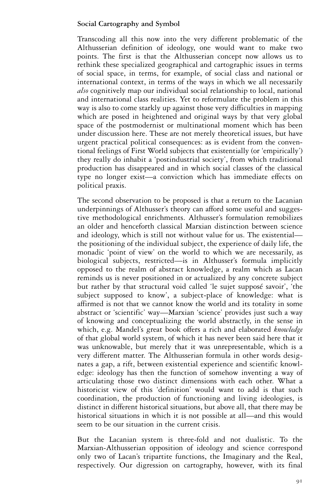# **Social Cartography and Symbol**

Transcoding all this now into the very different problematic of the Althusserian definition of ideology, one would want to make two points. The first is that the Althusserian concept now allows us to rethink these specialized geographical and cartographic issues in terms of social space, in terms, for example, of social class and national or international context, in terms of the ways in which we all necessarily *also* cognitively map our individual social relationship to local, national and international class realities. Yet to reformulate the problem in this way is also to come starkly up against those very difficulties in mapping which are posed in heightened and original ways by that very global space of the postmodernist or multinational moment which has been under discussion here. These are not merely theoretical issues, but have urgent practical political consequences: as is evident from the conventional feelings of First World subjects that existentially (or 'empirically') they really do inhabit a 'postindustrial society', from which traditional production has disappeared and in which social classes of the classical type no longer exist—a conviction which has immediate effects on political praxis.

The second observation to be proposed is that a return to the Lacanian underpinnings of Althusser's theory can afford some useful and suggestive methodological enrichments. Althusser's formulation remobilizes an older and henceforth classical Marxian distinction between science and ideology, which is still not without value for us. The existential the positioning of the individual subject, the experience of daily life, the monadic 'point of view' on the world to which we are necessarily, as biological subjects, restricted—is in Althusser's formula implicitly opposed to the realm of abstract knowledge, a realm which as Lacan reminds us is never positioned in or actualized by any concrete subject but rather by that structural void called 'le sujet supposé savoir', 'the subject supposed to know', a subject-place of knowledge: what is affirmed is not that we cannot know the world and its totality in some abstract or 'scientific' way—Marxian 'science' provides just such a way of knowing and conceptualizing the world abstractly, in the sense in which, e.g. Mandel's great book offers a rich and elaborated *knowledge*  of that global world system, of which it has never been said here that it was unknowable, but merely that it was unrepresentable, which is a very different matter. The Althusserian formula in other words designates a gap, a rift, between existential experience and scientific knowledge: ideology has then the function of somehow inventing a way of articulating those two distinct dimensions with each other. What a historicist view of this 'definition' would want to add is that such coordination, the production of functioning and living ideologies, is distinct in different historical situations, but above all, that there may be historical situations in which it is not possible at all—and this would seem to be our situation in the current crisis.

But the Lacanian system is three-fold and not dualistic. To the Marxian-Althusserian opposition of ideology and science correspond only two of Lacan's tripartite functions, the Imaginary and the Real, respectively. Our digression on cartography, however, with its final